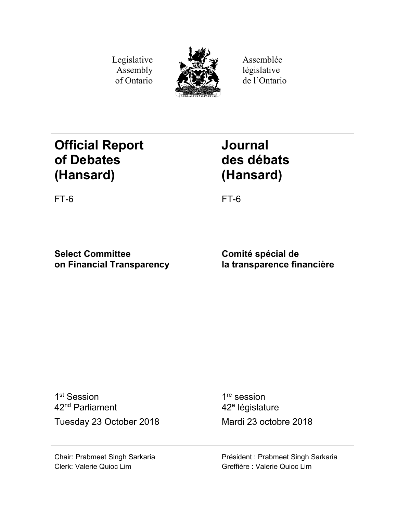Legislative Assembly of Ontario



Assemblée législative de l'Ontario

# **Official Report of Debates (Hansard)**

**Journal des débats (Hansard)**

FT-6 FT-6

**Select Committee on Financial Transparency**

**Comité spécial de la transparence financière**

1<sup>st</sup> Session 42nd Parliament Tuesday 23 October 2018 Mardi 23 octobre 2018

1<sup>re</sup> session 42<sup>e</sup> législature

Chair: Prabmeet Singh Sarkaria Clerk: Valerie Quioc Lim

Président : Prabmeet Singh Sarkaria Greffière : Valerie Quioc Lim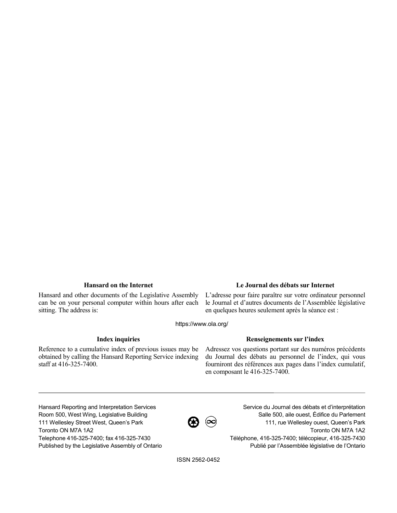Hansard and other documents of the Legislative Assembly can be on your personal computer within hours after each sitting. The address is:

## **Hansard on the Internet Le Journal des débats sur Internet**

L'adresse pour faire paraître sur votre ordinateur personnel le Journal et d'autres documents de l'Assemblée législative en quelques heures seulement après la séance est :

https://www.ola.org/

Reference to a cumulative index of previous issues may be obtained by calling the Hansard Reporting Service indexing staff at 416-325-7400.

### **Index inquiries Renseignements sur l'index**

Adressez vos questions portant sur des numéros précédents du Journal des débats au personnel de l'index, qui vous fourniront des références aux pages dans l'index cumulatif, en composant le 416-325-7400.

Hansard Reporting and Interpretation Services Room 500, West Wing, Legislative Building 111 Wellesley Street West, Queen's Park Toronto ON M7A 1A2 Telephone 416-325-7400; fax 416-325-7430 Published by the Legislative Assembly of Ontario

 $\bigcircled{B}$   $\circledcirc$ 

Service du Journal des débats et d'interprétation Salle 500, aile ouest, Édifice du Parlement 111, rue Wellesley ouest, Queen's Park Toronto ON M7A 1A2 Téléphone, 416-325-7400; télécopieur, 416-325-7430 Publié par l'Assemblée législative de l'Ontario

ISSN 2562-0452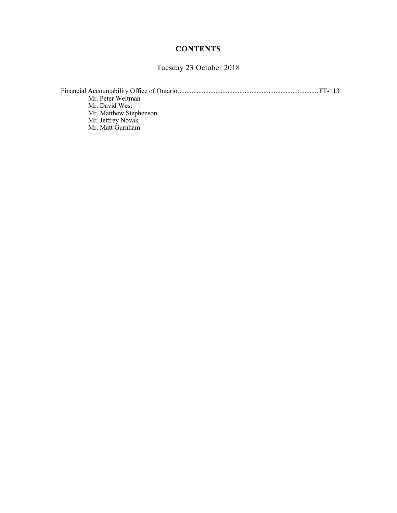# **CONTENTS**

Tuesday 23 October 2018

| Mr. Peter Weltman      |  |
|------------------------|--|
| Mr. David West         |  |
| Mr. Matthew Stephenson |  |
| Mr. Jeffrey Novak      |  |
| Mr. Matt Gurnham       |  |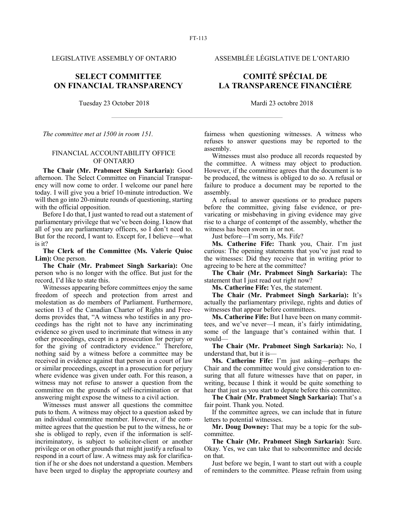LEGISLATIVE ASSEMBLY OF ONTARIO ASSEMBLÉE LÉGISLATIVE DE L'ONTARIO

# **SELECT COMMITTEE ON FINANCIAL TRANSPARENCY**

Tuesday 23 October 2018 Mardi 23 octobre 2018

*The committee met at 1500 in room 151.*

### FINANCIAL ACCOUNTABILITY OFFICE OF ONTARIO

**The Chair (Mr. Prabmeet Singh Sarkaria):** Good afternoon. The Select Committee on Financial Transparency will now come to order. I welcome our panel here today. I will give you a brief 10-minute introduction. We will then go into 20-minute rounds of questioning, starting with the official opposition.

Before I do that, I just wanted to read out a statement of parliamentary privilege that we've been doing. I know that all of you are parliamentary officers, so I don't need to. But for the record, I want to. Except for, I believe—what is it?

**The Clerk of the Committee (Ms. Valerie Quioc Lim):** One person.

**The Chair (Mr. Prabmeet Singh Sarkaria):** One person who is no longer with the office. But just for the record, I'd like to state this.

Witnesses appearing before committees enjoy the same freedom of speech and protection from arrest and molestation as do members of Parliament. Furthermore, section 13 of the Canadian Charter of Rights and Freedoms provides that, "A witness who testifies in any proceedings has the right not to have any incriminating evidence so given used to incriminate that witness in any other proceedings, except in a prosecution for perjury or for the giving of contradictory evidence." Therefore, nothing said by a witness before a committee may be received in evidence against that person in a court of law or similar proceedings, except in a prosecution for perjury where evidence was given under oath. For this reason, a witness may not refuse to answer a question from the committee on the grounds of self-incrimination or that answering might expose the witness to a civil action.

Witnesses must answer all questions the committee puts to them. A witness may object to a question asked by an individual committee member. However, if the committee agrees that the question be put to the witness, he or she is obliged to reply, even if the information is selfincriminatory, is subject to solicitor-client or another privilege or on other grounds that might justify a refusal to respond in a court of law. A witness may ask for clarification if he or she does not understand a question. Members have been urged to display the appropriate courtesy and

# **COMITÉ SPÉCIAL DE LA TRANSPARENCE FINANCIÈRE**

fairness when questioning witnesses. A witness who refuses to answer questions may be reported to the assembly.

Witnesses must also produce all records requested by the committee. A witness may object to production. However, if the committee agrees that the document is to be produced, the witness is obliged to do so. A refusal or failure to produce a document may be reported to the assembly.

A refusal to answer questions or to produce papers before the committee, giving false evidence, or prevaricating or misbehaving in giving evidence may give rise to a charge of contempt of the assembly, whether the witness has been sworn in or not.

Just before—I'm sorry, Ms. Fife?

**Ms. Catherine Fife:** Thank you, Chair. I'm just curious: The opening statements that you've just read to the witnesses: Did they receive that in writing prior to agreeing to be here at the committee?

**The Chair (Mr. Prabmeet Singh Sarkaria):** The statement that I just read out right now?

**Ms. Catherine Fife:** Yes, the statement.

**The Chair (Mr. Prabmeet Singh Sarkaria):** It's actually the parliamentary privilege, rights and duties of witnesses that appear before committees.

**Ms. Catherine Fife:** But I have been on many committees, and we've never—I mean, it's fairly intimidating, some of the language that's contained within that. I would—

**The Chair (Mr. Prabmeet Singh Sarkaria):** No, I understand that, but it is—

**Ms. Catherine Fife:** I'm just asking—perhaps the Chair and the committee would give consideration to ensuring that all future witnesses have that on paper, in writing, because I think it would be quite something to hear that just as you start to depute before this committee.

**The Chair (Mr. Prabmeet Singh Sarkaria):** That's a fair point. Thank you. Noted.

If the committee agrees, we can include that in future letters to potential witnesses.

**Mr. Doug Downey:** That may be a topic for the subcommittee.

**The Chair (Mr. Prabmeet Singh Sarkaria):** Sure. Okay. Yes, we can take that to subcommittee and decide on that.

Just before we begin, I want to start out with a couple of reminders to the committee. Please refrain from using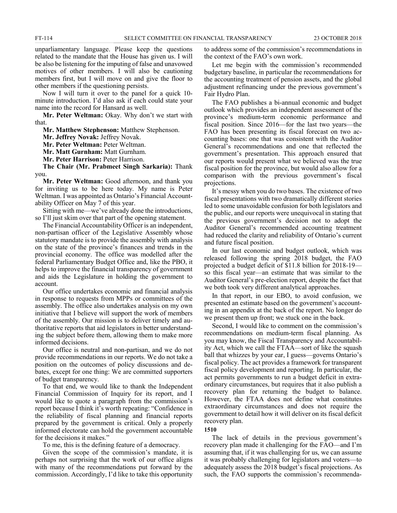unparliamentary language. Please keep the questions related to the mandate that the House has given us. I will be also be listening for the imputing of false and unavowed motives of other members. I will also be cautioning members first, but I will move on and give the floor to other members if the questioning persists.

Now I will turn it over to the panel for a quick 10 minute introduction. I'd also ask if each could state your name into the record for Hansard as well.

**Mr. Peter Weltman:** Okay. Why don't we start with that.

**Mr. Matthew Stephenson:** Matthew Stephenson.

**Mr. Jeffrey Novak:** Jeffrey Novak.

**Mr. Peter Weltman:** Peter Weltman.

**Mr. Matt Gurnham:** Matt Gurnham.

**Mr. Peter Harrison:** Peter Harrison.

**The Chair (Mr. Prabmeet Singh Sarkaria):** Thank you.

**Mr. Peter Weltman:** Good afternoon, and thank you for inviting us to be here today. My name is Peter Weltman. I was appointed as Ontario's Financial Accountability Officer on May 7 of this year.

Sitting with me—we've already done the introductions, so I'll just skim over that part of the opening statement.

The Financial Accountability Officer is an independent, non-partisan officer of the Legislative Assembly whose statutory mandate is to provide the assembly with analysis on the state of the province's finances and trends in the provincial economy. The office was modelled after the federal Parliamentary Budget Office and, like the PBO, it helps to improve the financial transparency of government and aids the Legislature in holding the government to account.

Our office undertakes economic and financial analysis in response to requests from MPPs or committees of the assembly. The office also undertakes analysis on my own initiative that I believe will support the work of members of the assembly. Our mission is to deliver timely and authoritative reports that aid legislators in better understanding the subject before them, allowing them to make more informed decisions.

Our office is neutral and non-partisan, and we do not provide recommendations in our reports. We do not take a position on the outcomes of policy discussions and debates, except for one thing: We are committed supporters of budget transparency.

To that end, we would like to thank the Independent Financial Commission of Inquiry for its report, and I would like to quote a paragraph from the commission's report because I think it's worth repeating: "Confidence in the reliability of fiscal planning and financial reports prepared by the government is critical. Only a properly informed electorate can hold the government accountable for the decisions it makes.'

To me, this is the defining feature of a democracy.

Given the scope of the commission's mandate, it is perhaps not surprising that the work of our office aligns with many of the recommendations put forward by the commission. Accordingly, I'd like to take this opportunity

to address some of the commission's recommendations in the context of the FAO's own work.

Let me begin with the commission's recommended budgetary baseline, in particular the recommendations for the accounting treatment of pension assets, and the global adjustment refinancing under the previous government's Fair Hydro Plan.

The FAO publishes a bi-annual economic and budget outlook which provides an independent assessment of the province's medium-term economic performance and fiscal position. Since 2016—for the last two years—the FAO has been presenting its fiscal forecast on two accounting bases: one that was consistent with the Auditor General's recommendations and one that reflected the government's presentation. This approach ensured that our reports would present what we believed was the true fiscal position for the province, but would also allow for a comparison with the previous government's fiscal projections.

It's messy when you do two bases. The existence of two fiscal presentations with two dramatically different stories led to some unavoidable confusion for both legislators and the public, and our reports were unequivocal in stating that the previous government's decision not to adopt the Auditor General's recommended accounting treatment had reduced the clarity and reliability of Ontario's current and future fiscal position.

In our last economic and budget outlook, which was released following the spring 2018 budget, the FAO projected a budget deficit of \$11.8 billion for 2018-19 so this fiscal year—an estimate that was similar to the Auditor General's pre-election report, despite the fact that we both took very different analytical approaches.

In that report, in our EBO, to avoid confusion, we presented an estimate based on the government's accounting in an appendix at the back of the report. No longer do we present them up front; we stuck one in the back.

Second, I would like to comment on the commission's recommendations on medium-term fiscal planning. As you may know, the Fiscal Transparency and Accountability Act, which we call the FTAA—sort of like the squash ball that whizzes by your ear, I guess—governs Ontario's fiscal policy. The act provides a framework for transparent fiscal policy development and reporting. In particular, the act permits governments to run a budget deficit in extraordinary circumstances, but requires that it also publish a recovery plan for returning the budget to balance. However, the FTAA does not define what constitutes extraordinary circumstances and does not require the government to detail how it will deliver on its fiscal deficit recovery plan.

**1510**

The lack of details in the previous government's recovery plan made it challenging for the FAO—and I'm assuming that, if it was challenging for us, we can assume it was probably challenging for legislators and voters—to adequately assess the 2018 budget's fiscal projections. As such, the FAO supports the commission's recommenda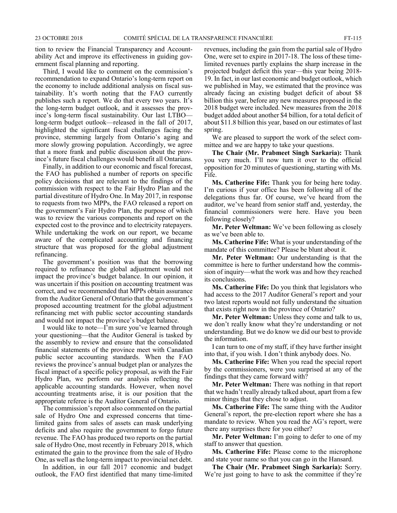tion to review the Financial Transparency and Accountability Act and improve its effectiveness in guiding government fiscal planning and reporting.

Third, I would like to comment on the commission's recommendation to expand Ontario's long-term report on the economy to include additional analysis on fiscal sustainability. It's worth noting that the FAO currently publishes such a report. We do that every two years. It's the long-term budget outlook, and it assesses the province's long-term fiscal sustainability. Our last LTBO long-term budget outlook—released in the fall of 2017, highlighted the significant fiscal challenges facing the province, stemming largely from Ontario's aging and more slowly growing population. Accordingly, we agree that a more frank and public discussion about the province's future fiscal challenges would benefit all Ontarians.

Finally, in addition to our economic and fiscal forecast, the FAO has published a number of reports on specific policy decisions that are relevant to the findings of the commission with respect to the Fair Hydro Plan and the partial divestiture of Hydro One. In May 2017, in response to requests from two MPPs, the FAO released a report on the government's Fair Hydro Plan, the purpose of which was to review the various components and report on the expected cost to the province and to electricity ratepayers. While undertaking the work on our report, we became aware of the complicated accounting and financing structure that was proposed for the global adjustment refinancing.

The government's position was that the borrowing required to refinance the global adjustment would not impact the province's budget balance. In our opinion, it was uncertain if this position on accounting treatment was correct, and we recommended that MPPs obtain assurance from the Auditor General of Ontario that the government's proposed accounting treatment for the global adjustment refinancing met with public sector accounting standards and would not impact the province's budget balance.

I would like to note—I'm sure you've learned through your questioning—that the Auditor General is tasked by the assembly to review and ensure that the consolidated financial statements of the province meet with Canadian public sector accounting standards. When the FAO reviews the province's annual budget plan or analyzes the fiscal impact of a specific policy proposal, as with the Fair Hydro Plan, we perform our analysis reflecting the applicable accounting standards. However, when novel accounting treatments arise, it is our position that the appropriate referee is the Auditor General of Ontario.

The commission's report also commented on the partial sale of Hydro One and expressed concerns that timelimited gains from sales of assets can mask underlying deficits and also require the government to forgo future revenue. The FAO has produced two reports on the partial sale of Hydro One, most recently in February 2018, which estimated the gain to the province from the sale of Hydro One, as well as the long-term impact to provincial net debt.

In addition, in our fall 2017 economic and budget outlook, the FAO first identified that many time-limited revenues, including the gain from the partial sale of Hydro One, were set to expire in 2017-18. The loss of these timelimited revenues partly explains the sharp increase in the projected budget deficit this year—this year being 2018- 19. In fact, in our last economic and budget outlook, which we published in May, we estimated that the province was already facing an existing budget deficit of about \$8 billion this year, before any new measures proposed in the 2018 budget were included. New measures from the 2018 budget added about another \$4 billion, for a total deficit of about \$11.8 billion this year, based on our estimates of last spring.

We are pleased to support the work of the select committee and we are happy to take your questions.

**The Chair (Mr. Prabmeet Singh Sarkaria):** Thank you very much. I'll now turn it over to the official opposition for 20 minutes of questioning, starting with Ms. Fife.

**Ms. Catherine Fife:** Thank you for being here today. I'm curious if your office has been following all of the delegations thus far. Of course, we've heard from the auditor, we've heard from senior staff and, yesterday, the financial commissioners were here. Have you been following closely?

**Mr. Peter Weltman:** We've been following as closely as we've been able to.

**Ms. Catherine Fife:** What is your understanding of the mandate of this committee? Please be blunt about it.

**Mr. Peter Weltman:** Our understanding is that the committee is here to further understand how the commission of inquiry—what the work was and how they reached its conclusions.

**Ms. Catherine Fife:** Do you think that legislators who had access to the 2017 Auditor General's report and your two latest reports would not fully understand the situation that exists right now in the province of Ontario?

**Mr. Peter Weltman:** Unless they come and talk to us, we don't really know what they're understanding or not understanding. But we do know we did our best to provide the information.

I can turn to one of my staff, if they have further insight into that, if you wish. I don't think anybody does. No.

**Ms. Catherine Fife:** When you read the special report by the commissioners, were you surprised at any of the findings that they came forward with?

**Mr. Peter Weltman:** There was nothing in that report that we hadn't really already talked about, apart from a few minor things that they chose to adjust.

**Ms. Catherine Fife:** The same thing with the Auditor General's report, the pre-election report where she has a mandate to review. When you read the AG's report, were there any surprises there for you either?

**Mr. Peter Weltman:** I'm going to defer to one of my staff to answer that question.

**Ms. Catherine Fife:** Please come to the microphone and state your name so that you can go in the Hansard.

**The Chair (Mr. Prabmeet Singh Sarkaria):** Sorry. We're just going to have to ask the committee if they're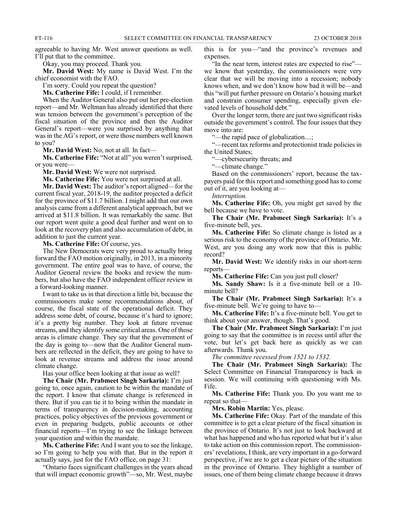agreeable to having Mr. West answer questions as well. I'll put that to the committee.

Okay, you may proceed. Thank you.

**Mr. David West:** My name is David West. I'm the chief economist with the FAO.

I'm sorry. Could you repeat the question?

**Ms. Catherine Fife:** I could, if I remember.

When the Auditor General also put out her pre-election report—and Mr. Weltman has already identified that there was tension between the government's perception of the fiscal situation of the province and then the Auditor General's report—were you surprised by anything that was in the AG's report, or were those numbers well known to you?

**Mr. David West:** No, not at all. In fact—

**Ms. Catherine Fife:** "Not at all" you weren't surprised, or you were—

**Mr. David West:** We were not surprised.

**Ms. Catherine Fife:** You were not surprised at all.

**Mr. David West:** The auditor's report aligned—for the current fiscal year, 2018-19, the auditor projected a deficit for the province of \$11.7 billion. I might add that our own analysis came from a different analytical approach, but we arrived at \$11.8 billion. It was remarkably the same. But our report went quite a good deal further and went on to look at the recovery plan and also accumulation of debt, in addition to just the current year.

**Ms. Catherine Fife:** Of course, yes.

The New Democrats were very proud to actually bring forward the FAO motion originally, in 2013, in a minority government. The entire goal was to have, of course, the Auditor General review the books and review the numbers, but also have the FAO independent officer review in a forward-looking manner.

I want to take us in that direction a little bit, because the commissioners make some recommendations about, of course, the fiscal state of the operational deficit. They address some debt, of course, because it's hard to ignore; it's a pretty big number. They look at future revenue streams, and they identify some critical areas. One of those areas is climate change. They say that the government of the day is going to—now that the Auditor General numbers are reflected in the deficit, they are going to have to look at revenue streams and address the issue around climate change.

Has your office been looking at that issue as well?

**The Chair (Mr. Prabmeet Singh Sarkaria):** I'm just going to, once again, caution to be within the mandate of the report. I know that climate change is referenced in there. But if you can tie it to being within the mandate in terms of transparency in decision-making, accounting practices, policy objectives of the previous government or even in preparing budgets, public accounts or other financial reports—I'm trying to see the linkage between your question and within the mandate.

**Ms. Catherine Fife:** And I want you to see the linkage, so I'm going to help you with that. But in the report it actually says, just for the FAO office, on page 31:

"Ontario faces significant challenges in the years ahead that will impact economic growth"—so, Mr. West, maybe

this is for you—"and the province's revenues and expenses.

"In the near term, interest rates are expected to rise" we know that yesterday, the commissioners were very clear that we will be moving into a recession; nobody knows when, and we don't know how bad it will be—and this "will put further pressure on Ontario's housing market and constrain consumer spending, especially given elevated levels of household debt."

Over the longer term, there are just two significant risks outside the government's control. The four issues that they move into are:

"—the rapid pace of globalization....;

"—recent tax reforms and protectionist trade policies in the United States;

"—cybersecurity threats; and

"—climate change."

Based on the commissioners' report, because the taxpayers paid for this report and something good has to come out of it, are you looking at—

*Interruption.*

**Ms. Catherine Fife:** Oh, you might get saved by the bell because we have to vote.

**The Chair (Mr. Prabmeet Singh Sarkaria):** It's a five-minute bell, yes.

**Ms. Catherine Fife:** So climate change is listed as a serious risk to the economy of the province of Ontario. Mr. West, are you doing any work now that this is public record?

**Mr. David West:** We identify risks in our short-term reports—

**Ms. Catherine Fife:** Can you just pull closer?

**Ms. Sandy Shaw:** Is it a five-minute bell or a 10 minute bell?

**The Chair (Mr. Prabmeet Singh Sarkaria):** It's a five-minute bell. We're going to have to—

**Ms. Catherine Fife:** It's a five-minute bell. You get to think about your answer, though. That's good.

**The Chair (Mr. Prabmeet Singh Sarkaria):** I'm just going to say that the committee is in recess until after the vote, but let's get back here as quickly as we can afterwards. Thank you.

*The committee recessed from 1521 to 1532.*

**The Chair (Mr. Prabmeet Singh Sarkaria):** The Select Committee on Financial Transparency is back in session. We will continuing with questioning with Ms. Fife.

**Ms. Catherine Fife:** Thank you. Do you want me to repeat so that—

**Mrs. Robin Martin:** Yes, please.

**Ms. Catherine Fife:** Okay. Part of the mandate of this committee is to get a clear picture of the fiscal situation in the province of Ontario. It's not just to look backward at what has happened and who has reported what but it's also to take action on this commission report. The commissioners' revelations, I think, are very important in a go-forward perspective, if we are to get a clear picture of the situation in the province of Ontario. They highlight a number of issues, one of them being climate change because it draws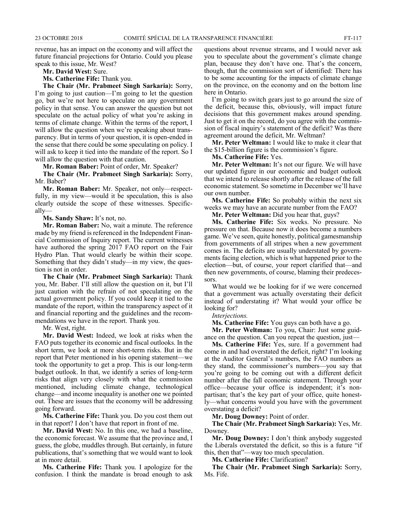revenue, has an impact on the economy and will affect the future financial projections for Ontario. Could you please speak to this issue, Mr. West?

**Mr. David West:** Sure.

**Ms. Catherine Fife:** Thank you.

**The Chair (Mr. Prabmeet Singh Sarkaria):** Sorry, I'm going to just caution—I'm going to let the question go, but we're not here to speculate on any government policy in that sense. You can answer the question but not speculate on the actual policy of what you're asking in terms of climate change. Within the terms of the report, I will allow the question when we're speaking about transparency. But in terms of your question, it is open-ended in the sense that there could be some speculating on policy. I will ask to keep it tied into the mandate of the report. So I will allow the question with that caution.

**Mr. Roman Baber:** Point of order, Mr. Speaker?

**The Chair (Mr. Prabmeet Singh Sarkaria):** Sorry, Mr. Baber?

**Mr. Roman Baber:** Mr. Speaker, not only—respectfully, in my view—would it be speculation, this is also clearly outside the scope of these witnesses. Specifically—

**Ms. Sandy Shaw:** It's not, no.

**Mr. Roman Baber:** No, wait a minute. The reference made by my friend is referenced in the Independent Financial Commission of Inquiry report. The current witnesses have authored the spring 2017 FAO report on the Fair Hydro Plan. That would clearly be within their scope. Something that they didn't study—in my view, the question is not in order.

**The Chair (Mr. Prabmeet Singh Sarkaria):** Thank you, Mr. Baber. I'll still allow the question on it, but I'll just caution with the refrain of not speculating on the actual government policy. If you could keep it tied to the mandate of the report, within the transparency aspect of it and financial reporting and the guidelines and the recommendations we have in the report. Thank you.

Mr. West, right.

**Mr. David West:** Indeed, we look at risks when the FAO puts together its economic and fiscal outlooks. In the short term, we look at more short-term risks. But in the report that Peter mentioned in his opening statement—we took the opportunity to get a prop. This is our long-term budget outlook. In that, we identify a series of long-term risks that align very closely with what the commission mentioned, including climate change, technological change—and income inequality is another one we pointed out. These are issues that the economy will be addressing going forward.

**Ms. Catherine Fife:** Thank you. Do you cost them out in that report? I don't have that report in front of me.

**Mr. David West:** No. In this one, we had a baseline, the economic forecast. We assume that the province and, I guess, the globe, muddles through. But certainly, in future publications, that's something that we would want to look at in more detail.

**Ms. Catherine Fife:** Thank you. I apologize for the confusion. I think the mandate is broad enough to ask questions about revenue streams, and I would never ask you to speculate about the government's climate change plan, because they don't have one. That's the concern, though, that the commission sort of identified: There has to be some accounting for the impacts of climate change on the province, on the economy and on the bottom line here in Ontario.

I'm going to switch gears just to go around the size of the deficit, because this, obviously, will impact future decisions that this government makes around spending. Just to get it on the record, do you agree with the commission of fiscal inquiry's statement of the deficit? Was there agreement around the deficit, Mr. Weltman?

**Mr. Peter Weltman:** I would like to make it clear that the \$15-billion figure is the commission's figure.

**Ms. Catherine Fife:** Yes.

**Mr. Peter Weltman:** It's not our figure. We will have our updated figure in our economic and budget outlook that we intend to release shortly after the release of the fall economic statement. So sometime in December we'll have our own number.

**Ms. Catherine Fife:** So probably within the next six weeks we may have an accurate number from the FAO?

**Mr. Peter Weltman:** Did you hear that, guys?

**Ms. Catherine Fife:** Six weeks. No pressure. No pressure on that. Because now it does become a numbers game. We've seen, quite honestly, political gamesmanship from governments of all stripes when a new government comes in. The deficits are usually understated by governments facing election, which is what happened prior to the election—but, of course, your report clarified that—and then new governments, of course, blaming their predecessors.

What would we be looking for if we were concerned that a government was actually overstating their deficit instead of understating it? What would your office be looking for?

*Interjections.*

**Ms. Catherine Fife:** You guys can both have a go.

**Mr. Peter Weltman:** To you, Chair: Just some guidance on the question. Can you repeat the question, just—

**Ms. Catherine Fife:** Yes, sure. If a government had come in and had overstated the deficit, right? I'm looking at the Auditor General's numbers, the FAO numbers as they stand, the commissioner's numbers—you say that you're going to be coming out with a different deficit number after the fall economic statement. Through your office—because your office is independent; it's nonpartisan; that's the key part of your office, quite honestly—what concerns would you have with the government overstating a deficit?

**Mr. Doug Downey:** Point of order.

**The Chair (Mr. Prabmeet Singh Sarkaria):** Yes, Mr. Downey.

**Mr. Doug Downey:** I don't think anybody suggested the Liberals overstated the deficit, so this is a future "if this, then that"—way too much speculation.

**Ms. Catherine Fife:** Clarification?

**The Chair (Mr. Prabmeet Singh Sarkaria):** Sorry, Ms. Fife.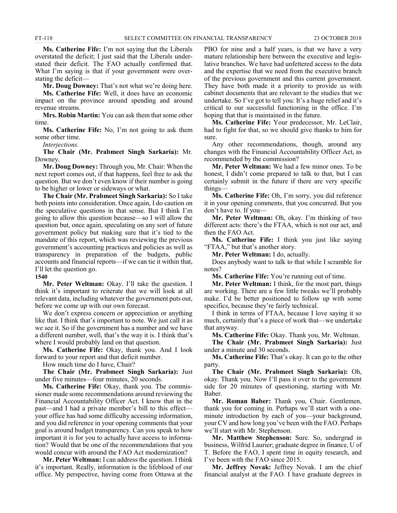**Ms. Catherine Fife:** I'm not saying that the Liberals overstated the deficit; I just said that the Liberals understated their deficit. The FAO actually confirmed that. What I'm saying is that if your government were overstating the deficit—

**Mr. Doug Downey:** That's not what we're doing here.

**Ms. Catherine Fife:** Well, it does have an economic impact on the province around spending and around revenue streams.

**Mrs. Robin Martin:** You can ask them that some other time.

**Ms. Catherine Fife:** No, I'm not going to ask them some other time.

*Interjections.*

**The Chair (Mr. Prabmeet Singh Sarkaria):** Mr. Downey.

**Mr. Doug Downey:** Through you, Mr. Chair: When the next report comes out, if that happens, feel free to ask the question. But we don't even know if their number is going to be higher or lower or sideways or what.

**The Chair (Mr. Prabmeet Singh Sarkaria):** So I take both points into consideration. Once again, I do caution on the speculative questions in that sense. But I think I'm going to allow this question because—so I will allow the question but, once again, speculating on any sort of future government policy but making sure that it's tied to the mandate of this report, which was reviewing the previous government's accounting practices and policies as well as transparency in preparation of the budgets, public accounts and financial reports—if we can tie it within that, I'll let the question go.

**1540**

**Mr. Peter Weltman:** Okay. I'll take the question. I think it's important to reiterate that we will look at all relevant data, including whatever the government puts out, before we come up with our own forecast.

We don't express concern or appreciation or anything like that. I think that's important to note. We just call it as we see it. So if the government has a number and we have a different number, well, that's the way it is. I think that's where I would probably land on that question.

**Ms. Catherine Fife:** Okay, thank you. And I look forward to your report and that deficit number.

How much time do I have, Chair?

**The Chair (Mr. Prabmeet Singh Sarkaria):** Just under five minutes—four minutes, 20 seconds.

**Ms. Catherine Fife:** Okay, thank you. The commissioner made some recommendations around reviewing the Financial Accountability Officer Act. I know that in the past—and I had a private member's bill to this effect your office has had some difficulty accessing information, and you did reference in your opening comments that your goal is around budget transparency. Can you speak to how important it is for you to actually have access to information? Would that be one of the recommendations that you would concur with around the FAO Act modernization?

**Mr. Peter Weltman:** I can address the question. I think it's important. Really, information is the lifeblood of our office. My perspective, having come from Ottawa at the PBO for nine and a half years, is that we have a very mature relationship here between the executive and legislative branches. We have had unfettered access to the data and the expertise that we need from the executive branch of the previous government and this current government. They have both made it a priority to provide us with cabinet documents that are relevant to the studies that we undertake. So I've got to tell you: It's a huge relief and it's critical to our successful functioning in the office. I'm hoping that that is maintained in the future.

**Ms. Catherine Fife:** Your predecessor, Mr. LeClair, had to fight for that, so we should give thanks to him for sure.

Any other recommendations, though, around any changes with the Financial Accountability Officer Act, as recommended by the commission?

**Mr. Peter Weltman:** We had a few minor ones. To be honest, I didn't come prepared to talk to that, but I can certainly submit in the future if there are very specific things—

**Ms. Catherine Fife:** Oh, I'm sorry, you did reference it in your opening comments, that you concurred. But you don't have to. If you—

**Mr. Peter Weltman:** Oh, okay. I'm thinking of two different acts: there's the FTAA, which is not our act, and then the FAO Act.

**Ms. Catherine Fife:** I think you just like saying "FTAA," but that's another story.

**Mr. Peter Weltman:** I do, actually.

Does anybody want to talk to that while I scramble for notes?

**Ms. Catherine Fife:** You're running out of time.

**Mr. Peter Weltman:** I think, for the most part, things are working. There are a few little tweaks we'll probably make. I'd be better positioned to follow up with some specifics, because they're fairly technical.

I think in terms of FTAA, because I love saying it so much, certainly that's a piece of work that—we undertake that anyway.

**Ms. Catherine Fife:** Okay. Thank you, Mr. Weltman.

**The Chair (Mr. Prabmeet Singh Sarkaria):** Just under a minute and 30 seconds.

**Ms. Catherine Fife:** That's okay. It can go to the other party.

**The Chair (Mr. Prabmeet Singh Sarkaria):** Oh, okay. Thank you. Now I'll pass it over to the government side for 20 minutes of questioning, starting with Mr. Baber.

**Mr. Roman Baber:** Thank you, Chair. Gentlemen, thank you for coming in. Perhaps we'll start with a oneminute introduction by each of you—your background, your CV and how long you've been with the FAO. Perhaps we'll start with Mr. Stephenson.

**Mr. Matthew Stephenson:** Sure. So, undergrad in business, Wilfrid Laurier; graduate degree in finance, U of T. Before the FAO, I spent time in equity research, and I've been with the FAO since 2015.

**Mr. Jeffrey Novak:** Jeffrey Novak. I am the chief financial analyst at the FAO. I have graduate degrees in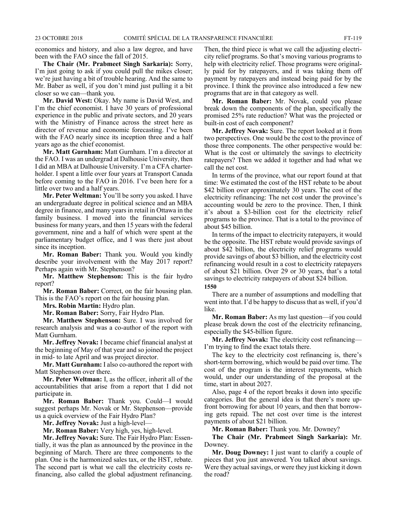economics and history, and also a law degree, and have been with the FAO since the fall of 2015.

**The Chair (Mr. Prabmeet Singh Sarkaria):** Sorry, I'm just going to ask if you could pull the mikes closer; we're just having a bit of trouble hearing. And the same to Mr. Baber as well, if you don't mind just pulling it a bit closer so we can—thank you.

**Mr. David West:** Okay. My name is David West, and I'm the chief economist. I have 30 years of professional experience in the public and private sectors, and 20 years with the Ministry of Finance across the street here as director of revenue and economic forecasting. I've been with the FAO nearly since its inception three and a half years ago as the chief economist.

**Mr. Matt Gurnham:** Matt Gurnham. I'm a director at the FAO. I was an undergrad at Dalhousie University, then I did an MBA at Dalhousie University. I'm a CFA charterholder. I spent a little over four years at Transport Canada before coming to the FAO in 2016. I've been here for a little over two and a half years.

**Mr. Peter Weltman:** You'll be sorry you asked. I have an undergraduate degree in political science and an MBA degree in finance, and many years in retail in Ottawa in the family business. I moved into the financial services business for many years, and then 15 years with the federal government, nine and a half of which were spent at the parliamentary budget office, and I was there just about since its inception.

**Mr. Roman Baber:** Thank you. Would you kindly describe your involvement with the May 2017 report? Perhaps again with Mr. Stephenson?

**Mr. Matthew Stephenson:** This is the fair hydro report?

**Mr. Roman Baber:** Correct, on the fair housing plan. This is the FAO's report on the fair housing plan.

**Mrs. Robin Martin:** Hydro plan.

**Mr. Roman Baber:** Sorry, Fair Hydro Plan.

**Mr. Matthew Stephenson:** Sure. I was involved for research analysis and was a co-author of the report with Matt Gurnham.

**Mr. Jeffrey Novak:** I became chief financial analyst at the beginning of May of that year and so joined the project in mid- to late April and was project director.

**Mr. Matt Gurnham:** I also co-authored the report with Matt Stephenson over there.

**Mr. Peter Weltman:** I, as the officer, inherit all of the accountabilities that arise from a report that I did not participate in.

**Mr. Roman Baber:** Thank you. Could—I would suggest perhaps Mr. Novak or Mr. Stephenson—provide us a quick overview of the Fair Hydro Plan?

**Mr. Jeffrey Novak:** Just a high-level—

**Mr. Roman Baber:** Very high, yes, high-level.

**Mr. Jeffrey Novak:** Sure. The Fair Hydro Plan: Essentially, it was the plan as announced by the province in the beginning of March. There are three components to the plan. One is the harmonized sales tax, or the HST, rebate. The second part is what we call the electricity costs refinancing, also called the global adjustment refinancing. Then, the third piece is what we call the adjusting electricity relief programs. So that's moving various programs to help with electricity relief. Those programs were originally paid for by ratepayers, and it was taking them off payment by ratepayers and instead being paid for by the province. I think the province also introduced a few new programs that are in that category as well.

**Mr. Roman Baber:** Mr. Novak, could you please break down the components of the plan, specifically the promised 25% rate reduction? What was the projected or built-in cost of each component?

**Mr. Jeffrey Novak:** Sure. The report looked at it from two perspectives. One would be the cost to the province of those three components. The other perspective would be: What is the cost or ultimately the savings to electricity ratepayers? Then we added it together and had what we call the net cost.

In terms of the province, what our report found at that time: We estimated the cost of the HST rebate to be about \$42 billion over approximately 30 years. The cost of the electricity refinancing: The net cost under the province's accounting would be zero to the province. Then, I think it's about a \$3-billion cost for the electricity relief programs to the province. That is a total to the province of about \$45 billion.

In terms of the impact to electricity ratepayers, it would be the opposite. The HST rebate would provide savings of about \$42 billion, the electricity relief programs would provide savings of about \$3 billion, and the electricity cost refinancing would result in a cost to electricity ratepayers of about \$21 billion. Over 29 or 30 years, that's a total savings to electricity ratepayers of about \$24 billion. **1550**

There are a number of assumptions and modelling that went into that. I'd be happy to discuss that as well, if you'd like.

**Mr. Roman Baber:** As my last question—if you could please break down the cost of the electricity refinancing, especially the \$45-billion figure.

**Mr. Jeffrey Novak:** The electricity cost refinancing— I'm trying to find the exact totals there.

The key to the electricity cost refinancing is, there's short-term borrowing, which would be paid over time. The cost of the program is the interest repayments, which would, under our understanding of the proposal at the time, start in about 2027.

Also, page 4 of the report breaks it down into specific categories. But the general idea is that there's more upfront borrowing for about 10 years, and then that borrowing gets repaid. The net cost over time is the interest payments of about \$21 billion.

**Mr. Roman Baber:** Thank you. Mr. Downey?

**The Chair (Mr. Prabmeet Singh Sarkaria):** Mr. Downey.

**Mr. Doug Downey:** I just want to clarify a couple of pieces that you just answered. You talked about savings. Were they actual savings, or were they just kicking it down the road?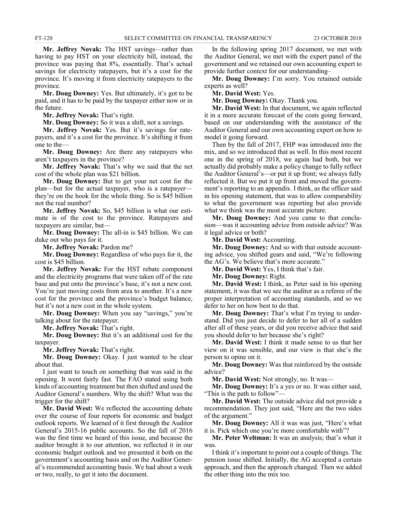**Mr. Jeffrey Novak:** The HST savings—rather than having to pay HST on your electricity bill, instead, the province was paying that 8%, essentially. That's actual savings for electricity ratepayers, but it's a cost for the province. It's moving it from electricity ratepayers to the province.

**Mr. Doug Downey:** Yes. But ultimately, it's got to be paid, and it has to be paid by the taxpayer either now or in the future.

**Mr. Jeffrey Novak:** That's right.

**Mr. Doug Downey:** So it was a shift, not a savings.

**Mr. Jeffrey Novak:** Yes. But it's savings for ratepayers, and it's a cost for the province. It's shifting it from one to the—

**Mr. Doug Downey:** Are there any ratepayers who aren't taxpayers in the province?

**Mr. Jeffrey Novak:** That's why we said that the net cost of the whole plan was \$21 billion.

**Mr. Doug Downey:** But to get your net cost for the plan—but for the actual taxpayer, who is a ratepayer they're on the hook for the whole thing. So is \$45 billion not the real number?

**Mr. Jeffrey Novak:** So, \$45 billion is what our estimate is of the cost to the province. Ratepayers and taxpayers are similar, but—

**Mr. Doug Downey:** The all-in is \$45 billion. We can duke out who pays for it.

**Mr. Jeffrey Novak:** Pardon me?

**Mr. Doug Downey:** Regardless of who pays for it, the cost is \$45 billion.

**Mr. Jeffrey Novak:** For the HST rebate component and the electricity programs that were taken off of the rate base and put onto the province's base, it's not a new cost. You're just moving costs from area to another. It's a new cost for the province and the province's budget balance, but it's not a new cost in the whole system.

**Mr. Doug Downey:** When you say "savings," you're talking about for the ratepayer.

**Mr. Jeffrey Novak:** That's right.

**Mr. Doug Downey:** But it's an additional cost for the taxpayer.

**Mr. Jeffrey Novak:** That's right.

**Mr. Doug Downey:** Okay. I just wanted to be clear about that.

I just want to touch on something that was said in the opening. It went fairly fast. The FAO stated using both kinds of accounting treatment but then shifted and used the Auditor General's numbers. Why the shift? What was the trigger for the shift?

**Mr. David West:** We reflected the accounting debate over the course of four reports for economic and budget outlook reports. We learned of it first through the Auditor General's 2015-16 public accounts. So the fall of 2016 was the first time we heard of this issue, and because the auditor brought it to our attention, we reflected it in our economic budget outlook and we presented it both on the government's accounting basis and on the Auditor General's recommended accounting basis. We had about a week or two, really, to get it into the document.

In the following spring 2017 document, we met with the Auditor General, we met with the expert panel of the government and we retained our own accounting expert to provide further context for our understanding–

**Mr. Doug Downey:** I'm sorry. You retained outside experts as well?

**Mr. David West:** Yes.

**Mr. Doug Downey:** Okay. Thank you.

**Mr. David West:** In that document, we again reflected it in a more accurate forecast of the costs going forward, based on our understanding with the assistance of the Auditor General and our own accounting expert on how to model it going forward.

Then by the fall of 2017, FHP was introduced into the mix, and so we introduced that as well. In this most recent one in the spring of 2018, we again had both, but we actually did probably make a policy change to fully reflect the Auditor General's—or put it up front; we always fully reflected it. But we put it up front and moved the government's reporting to an appendix. I think, as the officer said in his opening statement, that was to allow comparability to what the government was reporting but also provide what we think was the most accurate picture.

**Mr. Doug Downey:** And you came to that conclusion—was it accounting advice from outside advice? Was it legal advice or both?

**Mr. David West:** Accounting.

**Mr. Doug Downey:** And so with that outside accounting advice, you shifted gears and said, "We're following the AG's. We believe that's more accurate."

**Mr. David West:** Yes, I think that's fair.

**Mr. Doug Downey:** Right.

**Mr. David West:** I think, as Peter said in his opening statement, it was that we see the auditor as a referee of the proper interpretation of accounting standards, and so we defer to her on how best to do that.

**Mr. Doug Downey:** That's what I'm trying to understand. Did you just decide to defer to her all of a sudden after all of these years, or did you receive advice that said you should defer to her because she's right?

**Mr. David West:** I think it made sense to us that her view on it was sensible, and our view is that she's the person to opine on it.

**Mr. Doug Downey:** Was that reinforced by the outside advice?

**Mr. David West:** Not strongly, no. It was—

**Mr. Doug Downey:** It's a yes or no. It was either said, "This is the path to follow"—

**Mr. David West:** The outside advice did not provide a recommendation. They just said, "Here are the two sides of the argument."

**Mr. Doug Downey:** All it was was just, "Here's what it is. Pick which one you're more comfortable with"?

**Mr. Peter Weltman:** It was an analysis; that's what it was.

I think it's important to point out a couple of things. The pension issue shifted. Initially, the AG accepted a certain approach, and then the approach changed. Then we added the other thing into the mix too.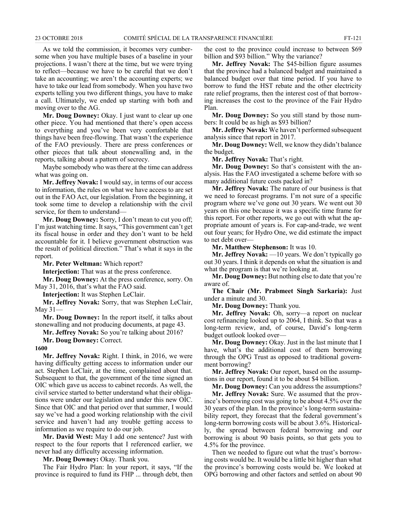As we told the commission, it becomes very cumbersome when you have multiple bases of a baseline in your projections. I wasn't there at the time, but we were trying to reflect—because we have to be careful that we don't take an accounting; we aren't the accounting experts; we have to take our lead from somebody. When you have two experts telling you two different things, you have to make a call. Ultimately, we ended up starting with both and moving over to the AG.

**Mr. Doug Downey:** Okay. I just want to clear up one other piece. You had mentioned that there's open access to everything and you've been very comfortable that things have been free-flowing. That wasn't the experience of the FAO previously. There are press conferences or other pieces that talk about stonewalling and, in the reports, talking about a pattern of secrecy.

Maybe somebody who was there at the time can address what was going on.

**Mr. Jeffrey Novak:** I would say, in terms of our access to information, the rules on what we have access to are set out in the FAO Act, our legislation. From the beginning, it took some time to develop a relationship with the civil service, for them to understand—

**Mr. Doug Downey:** Sorry, I don't mean to cut you off; I'm just watching time. It says, "This government can't get its fiscal house in order and they don't want to be held accountable for it. I believe government obstruction was the result of political direction." That's what it says in the report.

**Mr. Peter Weltman:** Which report?

**Interjection:** That was at the press conference.

**Mr. Doug Downey:** At the press conference, sorry. On May 31, 2016, that's what the FAO said.

**Interjection:** It was Stephen LeClair.

**Mr. Jeffrey Novak:** Sorry, that was Stephen LeClair, May  $31-$ 

**Mr. Doug Downey:** In the report itself, it talks about stonewalling and not producing documents, at page 43.

**Mr. Jeffrey Novak:** So you're talking about 2016?

**Mr. Doug Downey:** Correct.

#### **1600**

**Mr. Jeffrey Novak:** Right. I think, in 2016, we were having difficulty getting access to information under our act. Stephen LeClair, at the time, complained about that. Subsequent to that, the government of the time signed an OIC which gave us access to cabinet records. As well, the civil service started to better understand what their obligations were under our legislation and under this new OIC. Since that OIC and that period over that summer, I would say we've had a good working relationship with the civil service and haven't had any trouble getting access to information as we require to do our job.

**Mr. David West:** May I add one sentence? Just with respect to the four reports that I referenced earlier, we never had any difficulty accessing information.

**Mr. Doug Downey:** Okay. Thank you.

The Fair Hydro Plan: In your report, it says, "If the province is required to fund its FHP ... through debt, then the cost to the province could increase to between \$69 billion and \$93 billion." Why the variance?

**Mr. Jeffrey Novak:** The \$45-billion figure assumes that the province had a balanced budget and maintained a balanced budget over that time period. If you have to borrow to fund the HST rebate and the other electricity rate relief programs, then the interest cost of that borrowing increases the cost to the province of the Fair Hydro Plan.

**Mr. Doug Downey:** So you still stand by those numbers: It could be as high as \$93 billion?

**Mr. Jeffrey Novak:** We haven't performed subsequent analysis since that report in 2017.

**Mr. Doug Downey:** Well, we know they didn't balance the budget.

**Mr. Jeffrey Novak:** That's right.

**Mr. Doug Downey:** So that's consistent with the analysis. Has the FAO investigated a scheme before with so many additional future costs packed in?

**Mr. Jeffrey Novak:** The nature of our business is that we need to forecast programs. I'm not sure of a specific program where we've gone out 30 years. We went out 30 years on this one because it was a specific time frame for this report. For other reports, we go out with what the appropriate amount of years is. For cap-and-trade, we went out four years; for Hydro One, we did estimate the impact to net debt over—

**Mr. Matthew Stephenson:** It was 10.

**Mr. Jeffrey Novak:** —10 years. We don't typically go out 30 years. I think it depends on what the situation is and what the program is that we're looking at.

**Mr. Doug Downey:** But nothing else to date that you're aware of.

**The Chair (Mr. Prabmeet Singh Sarkaria):** Just under a minute and 30.

**Mr. Doug Downey:** Thank you.

**Mr. Jeffrey Novak:** Oh, sorry—a report on nuclear cost refinancing looked up to 2064, I think. So that was a long-term review, and, of course, David's long-term budget outlook looked over—

**Mr. Doug Downey:** Okay. Just in the last minute that I have, what's the additional cost of them borrowing through the OPG Trust as opposed to traditional government borrowing?

**Mr. Jeffrey Novak:** Our report, based on the assumptions in our report, found it to be about \$4 billion.

**Mr. Doug Downey:** Can you address the assumptions?

**Mr. Jeffrey Novak:** Sure. We assumed that the province's borrowing cost was going to be about 4.5% over the 30 years of the plan. In the province's long-term sustainability report, they forecast that the federal government's long-term borrowing costs will be about 3.6%. Historically, the spread between federal borrowing and our borrowing is about 90 basis points, so that gets you to 4.5% for the province.

Then we needed to figure out what the trust's borrowing costs would be. It would be a little bit higher than what the province's borrowing costs would be. We looked at OPG borrowing and other factors and settled on about 90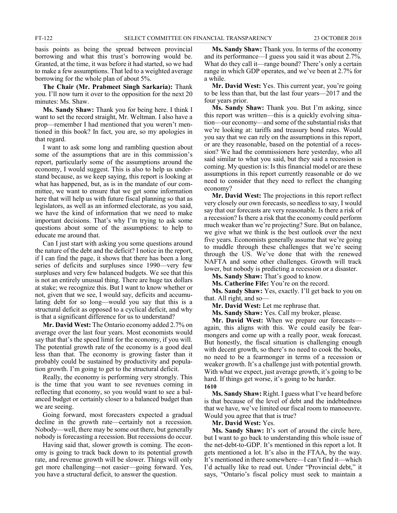basis points as being the spread between provincial borrowing and what this trust's borrowing would be. Granted, at the time, it was before it had started, so we had to make a few assumptions. That led to a weighted average borrowing for the whole plan of about 5%.

**The Chair (Mr. Prabmeet Singh Sarkaria):** Thank you. I'll now turn it over to the opposition for the next 20 minutes: Ms. Shaw.

**Ms. Sandy Shaw:** Thank you for being here. I think I want to set the record straight, Mr. Weltman. I also have a prop—remember I had mentioned that you weren't mentioned in this book? In fact, you are, so my apologies in that regard.

I want to ask some long and rambling question about some of the assumptions that are in this commission's report, particularly some of the assumptions around the economy, I would suggest. This is also to help us understand because, as we keep saying, this report is looking at what has happened, but, as is in the mandate of our committee, we want to ensure that we get some information here that will help us with future fiscal planning so that as legislators, as well as an informed electorate, as you said, we have the kind of information that we need to make important decisions. That's why I'm trying to ask some questions about some of the assumptions: to help to educate me around that.

Can I just start with asking you some questions around the nature of the debt and the deficit? I notice in the report, if I can find the page, it shows that there has been a long series of deficits and surpluses since 1990—very few surpluses and very few balanced budgets. We see that this is not an entirely unusual thing. There are huge tax dollars at stake; we recognize this. But I want to know whether or not, given that we see, I would say, deficits and accumulating debt for so long—would you say that this is a structural deficit as opposed to a cyclical deficit, and why is that a significant difference for us to understand?

**Mr. David West:** The Ontario economy added 2.7% on average over the last four years. Most economists would say that that's the speed limit for the economy, if you will. The potential growth rate of the economy is a good deal less than that. The economy is growing faster than it probably could be sustained by productivity and population growth. I'm going to get to the structural deficit.

Really, the economy is performing very strongly. This is the time that you want to see revenues coming in reflecting that economy, so you would want to see a balanced budget or certainly closer to a balanced budget than we are seeing.

Going forward, most forecasters expected a gradual decline in the growth rate—certainly not a recession. Nobody—well, there may be some out there, but generally nobody is forecasting a recession. But recessions do occur.

Having said that, slower growth is coming. The economy is going to track back down to its potential growth rate, and revenue growth will be slower. Things will only get more challenging—not easier—going forward. Yes, you have a structural deficit, to answer the question.

**Ms. Sandy Shaw:** Thank you. In terms of the economy and its performance—I guess you said it was about 2.7%. What do they call it—range bound? There's only a certain range in which GDP operates, and we've been at 2.7% for a while.

**Mr. David West:** Yes. This current year, you're going to be less than that, but the last four years—2017 and the four years prior.

**Ms. Sandy Shaw:** Thank you. But I'm asking, since this report was written—this is a quickly evolving situation—our economy—and some of the substantial risks that we're looking at: tariffs and treasury bond rates. Would you say that we can rely on the assumptions in this report, or are they reasonable, based on the potential of a recession? We had the commissioners here yesterday, who all said similar to what you said, but they said a recession is coming. My question is: Is this financial model or are these assumptions in this report currently reasonable or do we need to consider that they need to reflect the changing economy?

**Mr. David West:** The projections in this report reflect very closely our own forecasts, so needless to say, I would say that our forecasts are very reasonable. Is there a risk of a recession? Is there a risk that the economy could perform much weaker than we're projecting? Sure. But on balance, we give what we think is the best outlook over the next five years. Economists generally assume that we're going to muddle through these challenges that we're seeing through the US. We've done that with the renewed NAFTA and some other challenges. Growth will track lower, but nobody is predicting a recession or a disaster.

**Ms. Sandy Shaw:** That's good to know.

**Ms. Catherine Fife:** You're on the record.

**Ms. Sandy Shaw:** Yes, exactly. I'll get back to you on that. All right, and so—

**Mr. David West:** Let me rephrase that.

**Ms. Sandy Shaw:** Yes. Call my broker, please.

**Mr. David West:** When we prepare our forecasts again, this aligns with this. We could easily be fearmongers and come up with a really poor, weak forecast. But honestly, the fiscal situation is challenging enough with decent growth, so there's no need to cook the books, no need to be a fearmonger in terms of a recession or weaker growth. It's a challenge just with potential growth. With what we expect, just average growth, it's going to be hard. If things get worse, it's going to be harder. **1610**

**Ms. Sandy Shaw:** Right. I guess what I've heard before is that because of the level of debt and the indebtedness that we have, we've limited our fiscal room to manoeuvre. Would you agree that that is true?

**Mr. David West:** Yes.

**Ms. Sandy Shaw:** It's sort of around the circle here, but I want to go back to understanding this whole issue of the net-debt-to-GDP. It's mentioned in this report a lot. It gets mentioned a lot. It's also in the FTAA, by the way. It's mentioned in there somewhere—I can't find it—which I'd actually like to read out. Under "Provincial debt," it says, "Ontario's fiscal policy must seek to maintain a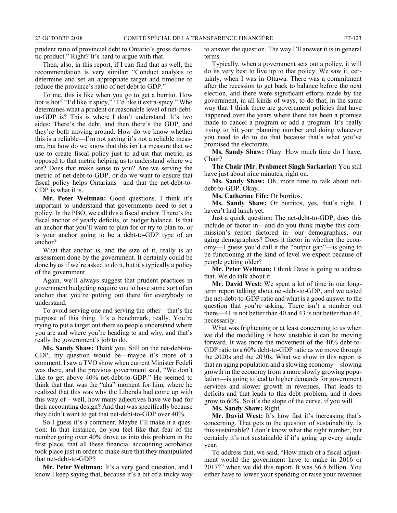prudent ratio of provincial debt to Ontario's gross domestic product." Right? It's hard to argue with that.

Then, also, in this report, if I can find that as well, the recommendation is very similar: "Conduct analysis to determine and set an appropriate target and timeline to reduce the province's ratio of net debt to GDP."

To me, this is like when you go to get a burrito. How hot is hot? "I'd like it spicy," "I'd like it extra-spicy." Who determines what a prudent or reasonable level of net-debtto-GDP is? This is where I don't understand. It's two sides: There's the debt, and then there's the GDP, and they're both moving around. How do we know whether this is a reliable—I'm not saying it's not a reliable measure, but how do we know that this isn't a measure that we use to create fiscal policy just to adjust that metric, as opposed to that metric helping us to understand where we are? Does that make sense to you? Are we serving the metric of net-debt-to-GDP, or do we want to ensure that fiscal policy helps Ontarians—and that the net-debt-to-GDP is what it is.

**Mr. Peter Weltman:** Good questions. I think it's important to understand that governments need to set a policy. In the PBO, we call this a fiscal anchor. There's the fiscal anchor of yearly deficits, or budget balance. Is that an anchor that you'll want to plan for or try to plan to, or is your anchor going to be a debt-to-GDP type of an anchor?

What that anchor is, and the size of it, really is an assessment done by the government. It certainly could be done by us if we're asked to do it, but it's typically a policy of the government.

Again, we'll always suggest that prudent practices in government budgeting require you to have some sort of an anchor that you're putting out there for everybody to understand.

To avoid serving one and serving the other—that's the purpose of this thing. It's a benchmark, really. You're trying to put a target out there so people understand where you are and where you're heading to and why, and that's really the government's job to do.

**Ms. Sandy Shaw:** Thank you. Still on the net-debt-to-GDP, my question would be—maybe it's more of a comment. I saw a TVO show when current Minister Fedeli was there, and the previous government said, "We don't like to get above 40% net-debt-to-GDP." He seemed to think that that was the "aha" moment for him, where he realized that this was why the Liberals had come up with this way of—well, how many adjectives have we had for their accounting design? And that was specifically because they didn't want to get that net-debt-to-GDP over 40%.

So I guess it's a comment. Maybe I'll make it a question: In that instance, do you feel like that fear of the number going over 40% drove us into this problem in the first place, that all these financial accounting acrobatics took place just in order to make sure that they manipulated that net-debt-to-GDP?

**Mr. Peter Weltman:** It's a very good question, and I know I keep saying that, because it's a bit of a tricky way to answer the question. The way I'll answer it is in general terms.

Typically, when a government sets out a policy, it will do its very best to live up to that policy. We saw it, certainly, when I was in Ottawa. There was a commitment after the recession to get back to balance before the next election, and there were significant efforts made by the government, in all kinds of ways, to do that, in the same way that I think there are government policies that have happened over the years where there has been a promise made to cancel a program or add a program. It's really trying to hit your planning number and doing whatever you need to do to do that because that's what you've promised the electorate.

**Ms. Sandy Shaw:** Okay. How much time do I have, Chair?

**The Chair (Mr. Prabmeet Singh Sarkaria):** You still have just about nine minutes, right on.

**Ms. Sandy Shaw:** Oh, more time to talk about netdebt-to-GDP. Okay.

**Ms. Catherine Fife:** Or burritos.

**Ms. Sandy Shaw:** Or burritos, yes, that's right. I haven't had lunch yet.

Just a quick question: The net-debt-to-GDP, does this include or factor in—and do you think maybe this commission's report factored in—our demographics, our aging demographics? Does it factor in whether the economy—I guess you'd call it the "output gap"—is going to be functioning at the kind of level we expect because of people getting older?

**Mr. Peter Weltman:** I think Dave is going to address that. We do talk about it.

**Mr. David West:** We spent a lot of time in our longterm report talking about net-debt-to-GDP, and we tested the net-debt-to-GDP ratio and what is a good answer to the question that you're asking. There isn't a number out there—41 is not better than 40 and 43 is not better than 44, necessarily.

What was frightening or at least concerning to us when we did the modelling is how unstable it can be moving forward. It was more the movement of the 40% debt-to-GDP ratio to a 60% debt-to-GDP ratio as we move through the 2020s and the 2030s. What we show in this report is that an aging population and a slowing economy—slowing growth in the economy from a more slowly growing population—is going to lead to higher demands for government services and slower growth in revenues. That leads to deficits and that leads to this debt problem, and it does grow to 60%. So it's the slope of the curve, if you will.

**Ms. Sandy Shaw:** Right.

**Mr. David West:** It's how fast it's increasing that's concerning. That gets to the question of sustainability. Is this sustainable? I don't know what the right number, but certainly it's not sustainable if it's going up every single year.

To address that, we said, "How much of a fiscal adjustment would the government have to make in 2016 or 2017?" when we did this report. It was \$6.5 billion. You either have to lower your spending or raise your revenues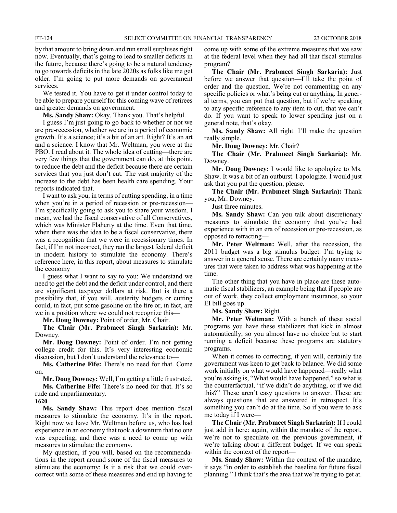by that amount to bring down and run small surpluses right now. Eventually, that's going to lead to smaller deficits in the future, because there's going to be a natural tendency to go towards deficits in the late 2020s as folks like me get older. I'm going to put more demands on government services.

We tested it. You have to get it under control today to be able to prepare yourself for this coming wave of retirees and greater demands on government.

**Ms. Sandy Shaw:** Okay. Thank you. That's helpful.

I guess I'm just going to go back to whether or not we are pre-recession, whether we are in a period of economic growth. It's a science; it's a bit of an art. Right? It's an art and a science. I know that Mr. Weltman, you were at the PBO. I read about it. The whole idea of cutting—there are very few things that the government can do, at this point, to reduce the debt and the deficit because there are certain services that you just don't cut. The vast majority of the increase to the debt has been health care spending. Your reports indicated that.

I want to ask you, in terms of cutting spending, in a time when you're in a period of recession or pre-recession— I'm specifically going to ask you to share your wisdom. I mean, we had the fiscal conservative of all Conservatives, which was Minister Flaherty at the time. Even that time, when there was the idea to be a fiscal conservative, there was a recognition that we were in recessionary times. In fact, if I'm not incorrect, they ran the largest federal deficit in modern history to stimulate the economy. There's reference here, in this report, about measures to stimulate the economy

I guess what I want to say to you: We understand we need to get the debt and the deficit under control, and there are significant taxpayer dollars at risk. But is there a possibility that, if you will, austerity budgets or cutting could, in fact, put some gasoline on the fire or, in fact, are we in a position where we could not recognize this—

**Mr. Doug Downey:** Point of order, Mr. Chair.

**The Chair (Mr. Prabmeet Singh Sarkaria):** Mr. Downey.

**Mr. Doug Downey:** Point of order. I'm not getting college credit for this. It's very interesting economic discussion, but I don't understand the relevance to—

**Ms. Catherine Fife:** There's no need for that. Come on.

**Mr. Doug Downey:** Well, I'm getting a little frustrated.

**Ms. Catherine Fife:** There's no need for that. It's so rude and unparliamentary.

**1620**

**Ms. Sandy Shaw:** This report does mention fiscal measures to stimulate the economy. It's in the report. Right now we have Mr. Weltman before us, who has had experience in an economy that took a downturn that no one was expecting, and there was a need to come up with measures to stimulate the economy.

My question, if you will, based on the recommendations in the report around some of the fiscal measures to stimulate the economy: Is it a risk that we could overcorrect with some of these measures and end up having to come up with some of the extreme measures that we saw at the federal level when they had all that fiscal stimulus program?

**The Chair (Mr. Prabmeet Singh Sarkaria):** Just before we answer that question—I'll take the point of order and the question. We're not commenting on any specific policies or what's being cut or anything. In general terms, you can put that question, but if we're speaking to any specific reference to any item to cut, that we can't do. If you want to speak to lower spending just on a general note, that's okay.

**Ms. Sandy Shaw:** All right. I'll make the question really simple.

**Mr. Doug Downey:** Mr. Chair?

**The Chair (Mr. Prabmeet Singh Sarkaria):** Mr. Downey.

**Mr. Doug Downey:** I would like to apologize to Ms. Shaw. It was a bit of an outburst. I apologize. I would just ask that you put the question, please.

**The Chair (Mr. Prabmeet Singh Sarkaria):** Thank you, Mr. Downey.

Just three minutes.

**Ms. Sandy Shaw:** Can you talk about discretionary measures to stimulate the economy that you've had experience with in an era of recession or pre-recession, as opposed to retracting—

**Mr. Peter Weltman:** Well, after the recession, the 2011 budget was a big stimulus budget. I'm trying to answer in a general sense. There are certainly many measures that were taken to address what was happening at the time.

The other thing that you have in place are these automatic fiscal stabilizers, an example being that if people are out of work, they collect employment insurance, so your EI bill goes up.

**Ms. Sandy Shaw:** Right.

**Mr. Peter Weltman:** With a bunch of these social programs you have these stabilizers that kick in almost automatically, so you almost have no choice but to start running a deficit because these programs are statutory programs.

When it comes to correcting, if you will, certainly the government was keen to get back to balance. We did some work initially on what would have happened—really what you're asking is, "What would have happened," so what is the counterfactual, "if we didn't do anything, or if we did this?" These aren't easy questions to answer. These are always questions that are answered in retrospect. It's something you can't do at the time. So if you were to ask me today if I were—

**The Chair (Mr. Prabmeet Singh Sarkaria):** If I could just add in here: again, within the mandate of the report, we're not to speculate on the previous government, if we're talking about a different budget. If we can speak within the context of the report—

**Ms. Sandy Shaw:** Within the context of the mandate, it says "in order to establish the baseline for future fiscal planning." I think that's the area that we're trying to get at.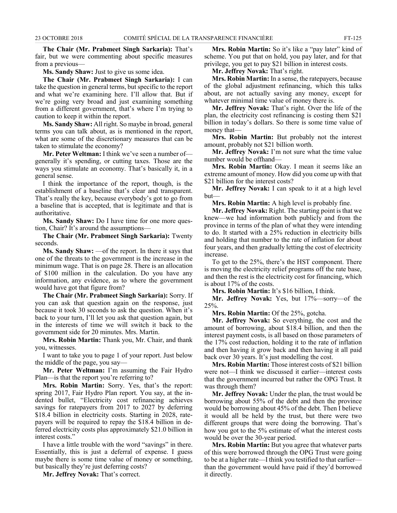**The Chair (Mr. Prabmeet Singh Sarkaria):** That's fair, but we were commenting about specific measures from a previous—

**Ms. Sandy Shaw:** Just to give us some idea.

**The Chair (Mr. Prabmeet Singh Sarkaria):** I can take the question in general terms, but specific to the report and what we're examining here. I'll allow that. But if we're going very broad and just examining something from a different government, that's where I'm trying to caution to keep it within the report.

**Ms. Sandy Shaw:** All right. So maybe in broad, general terms you can talk about, as is mentioned in the report, what are some of the discretionary measures that can be taken to stimulate the economy?

**Mr. Peter Weltman:** I think we've seen a number of generally it's spending, or cutting taxes. Those are the ways you stimulate an economy. That's basically it, in a general sense.

I think the importance of the report, though, is the establishment of a baseline that's clear and transparent. That's really the key, because everybody's got to go from a baseline that is accepted, that is legitimate and that is authoritative.

**Ms. Sandy Shaw:** Do I have time for one more question, Chair? It's around the assumptions—

**The Chair (Mr. Prabmeet Singh Sarkaria):** Twenty seconds.

**Ms. Sandy Shaw:** —of the report. In there it says that one of the threats to the government is the increase in the minimum wage. That is on page 28. There is an allocation of \$100 million in the calculation. Do you have any information, any evidence, as to where the government would have got that figure from?

**The Chair (Mr. Prabmeet Singh Sarkaria):** Sorry. If you can ask that question again on the response, just because it took 30 seconds to ask the question. When it's back to your turn, I'll let you ask that question again, but in the interests of time we will switch it back to the government side for 20 minutes. Mrs. Martin.

**Mrs. Robin Martin:** Thank you, Mr. Chair, and thank you, witnesses.

I want to take you to page 1 of your report. Just below the middle of the page, you say—

**Mr. Peter Weltman:** I'm assuming the Fair Hydro Plan—is that the report you're referring to?

**Mrs. Robin Martin:** Sorry. Yes, that's the report: spring 2017, Fair Hydro Plan report. You say, at the indented bullet, "Electricity cost refinancing achieves savings for ratepayers from 2017 to 2027 by deferring \$18.4 billion in electricity costs. Starting in 2028, ratepayers will be required to repay the \$18.4 billion in deferred electricity costs plus approximately \$21.0 billion in interest costs."

I have a little trouble with the word "savings" in there. Essentially, this is just a deferral of expense. I guess maybe there is some time value of money or something, but basically they're just deferring costs?

**Mr. Jeffrey Novak:** That's correct.

**Mrs. Robin Martin:** So it's like a "pay later" kind of scheme. You put that on hold, you pay later, and for that privilege, you get to pay \$21 billion in interest costs.

**Mr. Jeffrey Novak:** That's right.

**Mrs. Robin Martin:** In a sense, the ratepayers, because of the global adjustment refinancing, which this talks about, are not actually saving any money, except for whatever minimal time value of money there is.

**Mr. Jeffrey Novak:** That's right. Over the life of the plan, the electricity cost refinancing is costing them \$21 billion in today's dollars. So there is some time value of money that—

**Mrs. Robin Martin:** But probably not the interest amount, probably not \$21 billion worth.

**Mr. Jeffrey Novak:** I'm not sure what the time value number would be offhand—

**Mrs. Robin Martin:** Okay. I mean it seems like an extreme amount of money. How did you come up with that \$21 billion for the interest costs?

**Mr. Jeffrey Novak:** I can speak to it at a high level but—

**Mrs. Robin Martin:** A high level is probably fine.

**Mr. Jeffrey Novak:** Right. The starting point is that we knew—we had information both publicly and from the province in terms of the plan of what they were intending to do. It started with a 25% reduction in electricity bills and holding that number to the rate of inflation for about four years, and then gradually letting the cost of electricity increase.

To get to the 25%, there's the HST component. There is moving the electricity relief programs off the rate base, and then the rest is the electricity cost for financing, which is about 17% of the costs.

**Mrs. Robin Martin:** It's \$16 billion, I think.

**Mr. Jeffrey Novak:** Yes, but 17%—sorry—of the 25%.

**Mrs. Robin Martin:** Of the 25%, gotcha.

**Mr. Jeffrey Novak:** So everything, the cost and the amount of borrowing, about \$18.4 billion, and then the interest payment costs, is all based on those parameters of the 17% cost reduction, holding it to the rate of inflation and then having it grow back and then having it all paid back over 30 years. It's just modelling the cost.

**Mrs. Robin Martin:** Those interest costs of \$21 billion were not—I think we discussed it earlier—interest costs that the government incurred but rather the OPG Trust. It was through them?

**Mr. Jeffrey Novak:** Under the plan, the trust would be borrowing about 55% of the debt and then the province would be borrowing about 45% of the debt. Then I believe it would all be held by the trust, but there were two different groups that were doing the borrowing. That's how you got to the 5% estimate of what the interest costs would be over the 30-year period.

**Mrs. Robin Martin:** But you agree that whatever parts of this were borrowed through the OPG Trust were going to be at a higher rate—I think you testified to that earlier than the government would have paid if they'd borrowed it directly.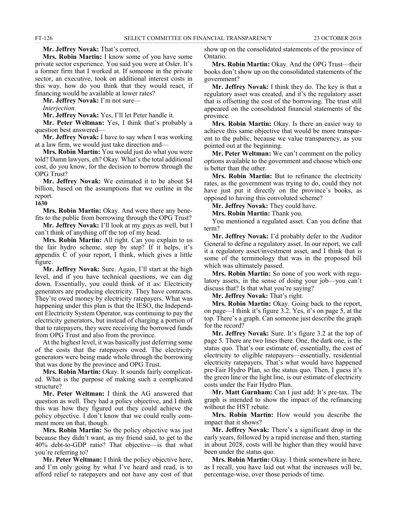**Mr. Jeffrey Novak:** That's correct.

**Mrs. Robin Martin:** I know some of you have some private sector experience. You said you were at Osler. It's a former firm that I worked at. If someone in the private sector, an executive, took on additional interest costs in this way, how do you think that they would react, if financing would be available at lower rates?

**Mr. Jeffrey Novak:** I'm not sure—

*Interjection.*

**Mr. Jeffrey Novak:** Yes, I'll let Peter handle it.

**Mr. Peter Weltman:** Yes, I think that's probably a question best answered—

**Mr. Jeffrey Novak:** I have to say when I was working at a law firm, we would just take direction and—

**Mrs. Robin Martin:** You would just do what you were told? Damn lawyers, eh? Okay. What's the total additional cost, do you know, for the decision to borrow through the OPG Trust?

**Mr. Jeffrey Novak:** We estimated it to be about \$4 billion, based on the assumptions that we outline in the report.

**1630**

**Mrs. Robin Martin:** Okay. And were there any benefits to the public from borrowing through the OPG Trust?

**Mr. Jeffrey Novak:** I'll look at my guys as well, but I can't think of anything off the top of my head.

**Mrs. Robin Martin:** All right. Can you explain to us the fair hydro scheme, step by step? If it helps, it's appendix C of your report, I think, which gives a little figure.

**Mr. Jeffrey Novak:** Sure. Again, I'll start at the high level, and if you have technical questions, we can dig down. Essentially, you could think of it as: Electricity generators are producing electricity. They have contracts. They're owed money by electricity ratepayers. What was happening under this plan is that the IESO, the Independent Electricity System Operator, was continuing to pay the electricity generators, but instead of charging a portion of that to ratepayers, they were receiving the borrowed funds from OPG Trust and also from the province.

At the highest level, it was basically just deferring some of the costs that the ratepayers owed. The electricity generators were being made whole through the borrowing that was done by the province and OPG Trust.

**Mrs. Robin Martin:** Okay. It sounds fairly complicated. What is the purpose of making such a complicated structure?

**Mr. Peter Weltman:** I think the AG answered that question as well. They had a policy objective, and I think this was how they figured out they could achieve the policy objective. I don't know that we could really comment more on that, though.

**Mrs. Robin Martin:** So the policy objective was just because they didn't want, as my friend said, to get to the 40% debt-to-GDP ratio? That objective—is that what you're referring to?

**Mr. Peter Weltman:** I think the policy objective here, and I'm only going by what I've heard and read, is to afford relief to ratepayers and not have any cost of that show up on the consolidated statements of the province of Ontario.

**Mrs. Robin Martin:** Okay. And the OPG Trust—their books don't show up on the consolidated statements of the government?

**Mr. Jeffrey Novak:** I think they do. The key is that a regulatory asset was created, and it's the regulatory asset that is offsetting the cost of the borrowing. The trust still appeared on the consolidated financial statements of the province.

**Mrs. Robin Martin:** Okay. Is there an easier way to achieve this same objective that would be more transparent to the public, because we value transparency, as you pointed out at the beginning.

**Mr. Peter Weltman:** We can't comment on the policy options available to the government and choose which one is better than the other.

**Mrs. Robin Martin:** But to refinance the electricity rates, as the government was trying to do, could they not have just put it directly on the province's books, as opposed to having this convoluted scheme?

**Mr. Jeffrey Novak:** They could have.

**Mrs. Robin Martin:** Thank you.

You mentioned a regulated asset. Can you define that term?

**Mr. Jeffrey Novak:** I'd probably defer to the Auditor General to define a regulatory asset. In our report, we call it a regulatory asset/investment asset, and I think that is some of the terminology that was in the proposed bill which was ultimately passed.

**Mrs. Robin Martin:** So none of you work with regulatory assets, in the sense of doing your job—you can't discuss that? Is that what you're saying?

**Mr. Jeffrey Novak:** That's right.

**Mrs. Robin Martin:** Okay. Going back to the report, on page—I think it's figure 3.2. Yes, it's on page 5, at the top. There's a graph. Can someone just describe the graph for the record?

**Mr. Jeffrey Novak:** Sure. It's figure 3.2 at the top of page 5. There are two lines there. One, the dark one, is the status quo. That's our estimate of, essentially, the cost of electricity to eligible ratepayers—essentially, residential electricity ratepayers. That's what would have happened pre-Fair Hydro Plan, so the status quo. Then, I guess it's the green line or the light line, is our estimate of electricity costs under the Fair Hydro Plan.

**Mr. Matt Gurnham:** Can I just add: It's pre-tax. The graph is intended to show the impact of the refinancing without the HST rebate.

**Mrs. Robin Martin:** How would you describe the impact that it shows?

**Mr. Jeffrey Novak:** There's a significant drop in the early years, followed by a rapid increase and then, starting in about 2028, costs will be higher than they would have been under the status quo.

**Mrs. Robin Martin:** Okay. I think somewhere in here, as I recall, you have laid out what the increases will be, percentage-wise, over those periods of time.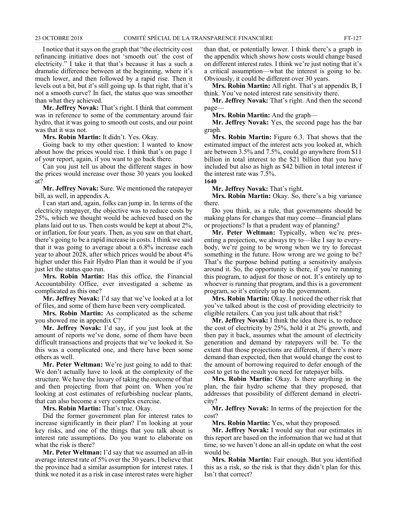I notice that it says on the graph that "the electricity cost refinancing initiative does not 'smooth out' the cost of electricity." I take it that that's because it has a such a dramatic difference between at the beginning, where it's much lower, and then followed by a rapid rise. Then it levels out a bit, but it's still going up. Is that right, that it's not a smooth curve? In fact, the status quo was smoother than what they achieved.

**Mr. Jeffrey Novak:** That's right. I think that comment was in reference to some of the commentary around fair hydro, that it was going to smooth out costs, and our point was that it was not.

**Mrs. Robin Martin:** It didn't. Yes. Okay.

Going back to my other question: I wanted to know about how the prices would rise. I think that's on page 1 of your report, again, if you want to go back there.

Can you just tell us about the different stages in how the prices would increase over those 30 years you looked at?

**Mr. Jeffrey Novak:** Sure. We mentioned the ratepayer bill, as well, in appendix A.

I can start and, again, folks can jump in. In terms of the electricity ratepayer, the objective was to reduce costs by 25%, which we thought would be achieved based on the plans laid out to us. Then costs would be kept at about 2%, or inflation, for four years. Then, as you saw on that chart, there's going to be a rapid increase in costs. I think we said that it was going to average about a 6.8% increase each year to about 2028, after which prices would be about 4% higher under this Fair Hydro Plan than it would be if you just let the status quo run.

**Mrs. Robin Martin:** Has this office, the Financial Accountability Office, ever investigated a scheme as complicated as this one?

**Mr. Jeffrey Novak:** I'd say that we've looked at a lot of files, and some of them have been very complicated.

**Mrs. Robin Martin:** As complicated as the scheme you showed me in appendix C?

**Mr. Jeffrey Novak:** I'd say, if you just look at the amount of reports we've done, some of them have been difficult transactions and projects that we've looked it. So this was a complicated one, and there have been some others as well.

**Mr. Peter Weltman:** We're just going to add to that: We don't actually have to look at the complexity of the structure. We have the luxury of taking the outcome of that and then projecting from that point on. When you're looking at cost estimates of refurbishing nuclear plants, that can also become a very complex exercise.

**Mrs. Robin Martin:** That's true. Okay.

Did the former government plan for interest rates to increase significantly in their plan? I'm looking at your key risks, and one of the things that you talk about is interest rate assumptions. Do you want to elaborate on what the risk is there?

**Mr. Peter Weltman:** I'd say that we assumed an all-in average interest rate of 5% over the 30 years. I believe that the province had a similar assumption for interest rates. I think we noted it as a risk in case interest rates were higher

than that, or potentially lower. I think there's a graph in the appendix which shows how costs would change based on different interest rates. I think we're just noting that it's a critical assumption—what the interest is going to be. Obviously, it could be different over 30 years.

**Mrs. Robin Martin:** All right. That's at appendix B, I think. You've noted interest rate sensitivity there.

**Mr. Jeffrey Novak:** That's right. And then the second page—

**Mrs. Robin Martin:** And the graph—

**Mr. Jeffrey Novak:** Yes, the second page has the bar graph.

**Mrs. Robin Martin:** Figure 6.3. That shows that the estimated impact of the interest acts you looked at, which are between 3.5% and 7.5%, could go anywhere from \$11 billion in total interest to the \$21 billion that you have included but also as high as \$42 billion in total interest if the interest rate was 7.5%. **1640**

**Mr. Jeffrey Novak:** That's right.

**Mrs. Robin Martin:** Okay. So, there's a big variance there.

Do you think, as a rule, that governments should be making plans for changes that may come—financial plans or projections? Is that a prudent way of planning?

**Mr. Peter Weltman:** Typically, when we're presenting a projection, we always try to—like I say to everybody, we're going to be wrong when we try to forecast something in the future. How wrong are we going to be? That's the purpose behind putting a sensitivity analysis around it. So, the opportunity is there, if you're running this program, to adjust for those or not. It's entirely up to whoever is running that program, and this is a government program, so it's entirely up to the government.

**Mrs. Robin Martin:** Okay. I noticed the other risk that you've talked about is the cost of providing electricity to eligible retailers. Can you just talk about that risk?

**Mr. Jeffrey Novak:** I think the idea there is, to reduce the cost of electricity by 25%, hold it at 2% growth, and then pay it back, assumes what the amount of electricity generation and demand by ratepayers will be. To the extent that those projections are different, if there's more demand than expected, then that would change the cost to the amount of borrowing required to defer enough of the cost to get to the result you need for ratepayer bills.

**Mrs. Robin Martin:** Okay. Is there anything in the plan, the fair hydro scheme that they proposed, that addresses that possibility of different demand in electricity?

**Mr. Jeffrey Novak:** In terms of the projection for the cost?

**Mrs. Robin Martin:** Yes, what they proposed.

**Mr. Jeffrey Novak:** I would say that our estimates in this report are based on the information that we had at that time, so we haven't done an all-in update on what the cost would be.

**Mrs. Robin Martin:** Fair enough. But you identified this as a risk, so the risk is that they didn't plan for this. Isn't that correct?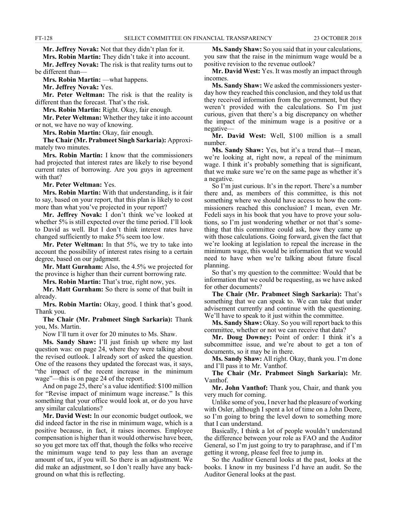**Mr. Jeffrey Novak:** Not that they didn't plan for it.

**Mrs. Robin Martin:** They didn't take it into account. **Mr. Jeffrey Novak:** The risk is that reality turns out to be different than—

**Mrs. Robin Martin:** —what happens.

**Mr. Jeffrey Novak:** Yes.

**Mr. Peter Weltman:** The risk is that the reality is different than the forecast. That's the risk.

**Mrs. Robin Martin:** Right. Okay, fair enough.

**Mr. Peter Weltman:** Whether they take it into account or not, we have no way of knowing.

**Mrs. Robin Martin:** Okay, fair enough.

**The Chair (Mr. Prabmeet Singh Sarkaria):** Approximately two minutes.

**Mrs. Robin Martin:** I know that the commissioners had projected that interest rates are likely to rise beyond current rates of borrowing. Are you guys in agreement with that?

**Mr. Peter Weltman:** Yes.

**Mrs. Robin Martin:** With that understanding, is it fair to say, based on your report, that this plan is likely to cost more than what you've projected in your report?

**Mr. Jeffrey Novak:** I don't think we've looked at whether 5% is still expected over the time period. I'll look to David as well. But I don't think interest rates have changed sufficiently to make 5% seem too low.

**Mr. Peter Weltman:** In that 5%, we try to take into account the possibility of interest rates rising to a certain degree, based on our judgment.

**Mr. Matt Gurnham:** Also, the 4.5% we projected for the province is higher than their current borrowing rate.

**Mrs. Robin Martin:** That's true, right now, yes.

**Mr. Matt Gurnham:** So there is some of that built in already.

**Mrs. Robin Martin:** Okay, good. I think that's good. Thank you.

**The Chair (Mr. Prabmeet Singh Sarkaria):** Thank you, Ms. Martin.

Now I'll turn it over for 20 minutes to Ms. Shaw.

**Ms. Sandy Shaw:** I'll just finish up where my last question was: on page 24, where they were talking about the revised outlook. I already sort of asked the question. One of the reasons they updated the forecast was, it says, "the impact of the recent increase in the minimum wage"—this is on page 24 of the report.

And on page 25, there's a value identified: \$100 million for "Revise impact of minimum wage increase." Is this something that your office would look at, or do you have any similar calculations?

**Mr. David West:** In our economic budget outlook, we did indeed factor in the rise in minimum wage, which is a positive because, in fact, it raises incomes. Employee compensation is higher than it would otherwise have been, so you get more tax off that, though the folks who receive the minimum wage tend to pay less than an average amount of tax, if you will. So there is an adjustment. We did make an adjustment, so I don't really have any background on what this is reflecting.

**Ms. Sandy Shaw:** So you said that in your calculations, you saw that the raise in the minimum wage would be a positive revision to the revenue outlook?

**Mr. David West:** Yes. It was mostly an impact through incomes.

**Ms. Sandy Shaw:** We asked the commissioners yesterday how they reached this conclusion, and they told us that they received information from the government, but they weren't provided with the calculations. So I'm just curious, given that there's a big discrepancy on whether the impact of the minimum wage is a positive or a negative—

**Mr. David West:** Well, \$100 million is a small number.

**Ms. Sandy Shaw:** Yes, but it's a trend that—I mean, we're looking at, right now, a repeal of the minimum wage. I think it's probably something that is significant, that we make sure we're on the same page as whether it's a negative.

So I'm just curious. It's in the report. There's a number there and, as members of this committee, is this not something where we should have access to how the commissioners reached this conclusion? I mean, even Mr. Fedeli says in his book that you have to prove your solutions, so I'm just wondering whether or not that's something that this committee could ask, how they came up with those calculations. Going forward, given the fact that we're looking at legislation to repeal the increase in the minimum wage, this would be information that we would need to have when we're talking about future fiscal planning.

So that's my question to the committee: Would that be information that we could be requesting, as we have asked for other documents?

**The Chair (Mr. Prabmeet Singh Sarkaria):** That's something that we can speak to. We can take that under advisement currently and continue with the questioning. We'll have to speak to it just within the committee.

**Ms. Sandy Shaw:** Okay. So you will report back to this committee, whether or not we can receive that data?

**Mr. Doug Downey:** Point of order: I think it's a subcommittee issue, and we're about to get a ton of documents, so it may be in there.

**Ms. Sandy Shaw:** All right. Okay, thank you. I'm done and I'll pass it to Mr. Vanthof.

**The Chair (Mr. Prabmeet Singh Sarkaria):** Mr. Vanthof.

**Mr. John Vanthof:** Thank you, Chair, and thank you very much for coming.

Unlike some of you, I never had the pleasure of working with Osler, although I spent a lot of time on a John Deere, so I'm going to bring the level down to something more that I can understand.

Basically, I think a lot of people wouldn't understand the difference between your role as FAO and the Auditor General, so I'm just going to try to paraphrase, and if I'm getting it wrong, please feel free to jump in.

So the Auditor General looks at the past, looks at the books. I know in my business I'd have an audit. So the Auditor General looks at the past.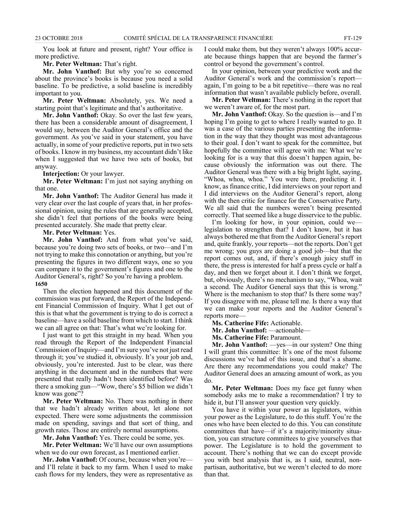You look at future and present, right? Your office is more predictive.

#### **Mr. Peter Weltman:** That's right.

**Mr. John Vanthof:** But why you're so concerned about the province's books is because you need a solid baseline. To be predictive, a solid baseline is incredibly important to you.

**Mr. Peter Weltman:** Absolutely, yes. We need a starting point that's legitimate and that's authoritative.

**Mr. John Vanthof:** Okay. So over the last few years, there has been a considerable amount of disagreement, I would say, between the Auditor General's office and the government. As you've said in your statement, you have actually, in some of your predictive reports, put in two sets of books. I know in my business, my accountant didn't like when I suggested that we have two sets of books, but anyway.

**Interjection:** Or your lawyer.

**Mr. Peter Weltman:** I'm just not saying anything on that one.

**Mr. John Vanthof:** The Auditor General has made it very clear over the last couple of years that, in her professional opinion, using the rules that are generally accepted, she didn't feel that portions of the books were being presented accurately. She made that pretty clear.

**Mr. Peter Weltman:** Yes.

**Mr. John Vanthof:** And from what you've said, because you're doing two sets of books, or two—and I'm not trying to make this connotation or anything, but you're presenting the figures in two different ways, one so you can compare it to the government's figures and one to the Auditor General's, right? So you're having a problem. **1650**

Then the election happened and this document of the commission was put forward, the Report of the Independent Financial Commission of Inquiry. What I get out of this is that what the government is trying to do is correct a baseline—have a solid baseline from which to start. I think we can all agree on that: That's what we're looking for.

I just want to get this straight in my head. When you read through the Report of the Independent Financial Commission of Inquiry—and I'm sure you've not just read through it; you've studied it, obviously. It's your job and, obviously, you're interested. Just to be clear, was there anything in the document and in the numbers that were presented that really hadn't been identified before? Was there a smoking gun—"Wow, there's \$5 billion we didn't know was gone"?

**Mr. Peter Weltman:** No. There was nothing in there that we hadn't already written about, let alone not expected. There were some adjustments the commission made on spending, savings and that sort of thing, and growth rates. Those are entirely normal assumptions.

**Mr. John Vanthof:** Yes. There could be some, yes.

**Mr. Peter Weltman:** We'll have our own assumptions when we do our own forecast, as I mentioned earlier.

**Mr. John Vanthof:** Of course, because when you're and I'll relate it back to my farm. When I used to make cash flows for my lenders, they were as representative as I could make them, but they weren't always 100% accurate because things happen that are beyond the farmer's control or beyond the government's control.

In your opinion, between your predictive work and the Auditor General's work and the commission's report again, I'm going to be a bit repetitive—there was no real information that wasn't available publicly before, overall.

**Mr. Peter Weltman:** There's nothing in the report that we weren't aware of, for the most part.

**Mr. John Vanthof:** Okay. So the question is—and I'm hoping I'm going to get to where I really wanted to go. It was a case of the various parties presenting the information in the way that they thought was most advantageous to their goal. I don't want to speak for the committee, but hopefully the committee will agree with me: What we're looking for is a way that this doesn't happen again, because obviously the information was out there. The Auditor General was there with a big bright light, saying, "Whoa, whoa, whoa." You were there, predicting it. I know, as finance critic, I did interviews on your report and I did interviews on the Auditor General's report, along with the then critic for finance for the Conservative Party. We all said that the numbers weren't being presented correctly. That seemed like a huge disservice to the public.

I'm looking for how, in your opinion, could we legislation to strengthen that? I don't know, but it has always bothered me that from the Auditor General's report and, quite frankly, your reports—not the reports. Don't get me wrong; you guys are doing a good job—but that the report comes out, and, if there's enough juicy stuff in there, the press is interested for half a press cycle or half a day, and then we forget about it. I don't think we forget, but, obviously, there's no mechanism to say, "Whoa, wait a second. The Auditor General says that this is wrong." Where is the mechanism to stop that? Is there some way? If you disagree with me, please tell me. Is there a way that we can make your reports and the Auditor General's reports more—

**Ms. Catherine Fife:** Actionable.

**Mr. John Vanthof:** —actionable—

**Ms. Catherine Fife:** Paramount.

**Mr. John Vanthof:** —yes—in our system? One thing I will grant this committee: It's one of the most fulsome discussions we've had of this issue, and that's a shame. Are there any recommendations you could make? The Auditor General does an amazing amount of work, as you do.

**Mr. Peter Weltman:** Does my face get funny when somebody asks me to make a recommendation? I try to hide it, but I'll answer your question very quickly.

You have it within your power as legislators, within your power as the Legislature, to do this stuff. You're the ones who have been elected to do this. You can constitute committees that have—if it's a majority/minority situation, you can structure committees to give yourselves that power. The Legislature is to hold the government to account. There's nothing that we can do except provide you with best analysis that is, as I said, neutral, nonpartisan, authoritative, but we weren't elected to do more than that.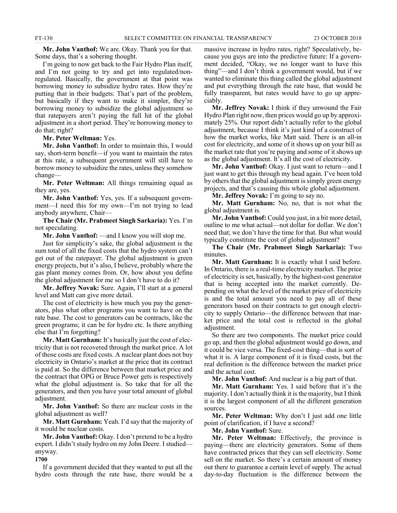**Mr. John Vanthof:** We are. Okay. Thank you for that. Some days, that's a sobering thought.

I'm going to now get back to the Fair Hydro Plan itself, and I'm not going to try and get into regulated/nonregulated. Basically, the government at that point was borrowing money to subsidize hydro rates. How they're putting that in their budgets: That's part of the problem, but basically if they want to make it simpler, they're borrowing money to subsidize the global adjustment so that ratepayers aren't paying the full hit of the global adjustment in a short period. They're borrowing money to do that; right?

**Mr. Peter Weltman:** Yes.

**Mr. John Vanthof:** In order to maintain this, I would say, short-term benefit—if you want to maintain the rates at this rate, a subsequent government will still have to borrow money to subsidize the rates, unless they somehow change—

**Mr. Peter Weltman:** All things remaining equal as they are, yes.

**Mr. John Vanthof:** Yes, yes. If a subsequent government—I need this for my own—I'm not trying to lead anybody anywhere, Chair—

**The Chair (Mr. Prabmeet Singh Sarkaria):** Yes. I'm not speculating.

**Mr. John Vanthof:** —and I know you will stop me.

Just for simplicity's sake, the global adjustment is the sum total of all the fixed costs that the hydro system can't get out of the ratepayer. The global adjustment is green energy projects, but it's also, I believe, probably where the gas plant money comes from. Or, how about you define the global adjustment for me so I don't have to do it?

**Mr. Jeffrey Novak:** Sure. Again, I'll start at a general level and Matt can give more detail.

The cost of electricity is how much you pay the generators, plus what other programs you want to have on the rate base. The cost to generators can be contracts, like the green programs; it can be for hydro etc. Is there anything else that I'm forgetting?

**Mr. Matt Gurnham:** It's basically just the cost of electricity that is not recovered through the market price. A lot of those costs are fixed costs. A nuclear plant does not buy electricity in Ontario's market at the price that its contract is paid at. So the difference between that market price and the contract that OPG or Bruce Power gets is respectively what the global adjustment is. So take that for all the generators, and then you have your total amount of global adjustment.

**Mr. John Vanthof:** So there are nuclear costs in the global adjustment as well?

**Mr. Matt Gurnham:** Yeah. I'd say that the majority of it would be nuclear costs.

**Mr. John Vanthof:** Okay. I don't pretend to be a hydro expert. I didn't study hydro on my John Deere. I studied anyway.

#### **1700**

If a government decided that they wanted to put all the hydro costs through the rate base, there would be a massive increase in hydro rates, right? Speculatively, because you guys are into the predictive future: If a government decided, "Okay, we no longer want to have this thing"—and I don't think a government would, but if we wanted to eliminate this thing called the global adjustment and put everything through the rate base, that would be fully transparent, but rates would have to go up appreciably.

**Mr. Jeffrey Novak:** I think if they unwound the Fair Hydro Plan right now, then prices would go up by approximately 25%. Our report didn't actually refer to the global adjustment, because I think it's just kind of a construct of how the market works, like Matt said. There is an all-in cost for electricity, and some of it shows up on your bill as the market rate that you're paying and some of it shows up as the global adjustment. It's all the cost of electricity.

**Mr. John Vanthof:** Okay. I just want to return—and I just want to get this through my head again. I've been told by others that the global adjustment is simply green energy projects, and that's causing this whole global adjustment.

**Mr. Jeffrey Novak:** I'm going to say no.

**Mr. Matt Gurnham:** No, no, that is not what the global adjustment is.

**Mr. John Vanthof:** Could you just, in a bit more detail, outline to me what actual—not dollar for dollar. We don't need that; we don't have the time for that. But what would typically constitute the cost of global adjustment?

**The Chair (Mr. Prabmeet Singh Sarkaria):** Two minutes.

**Mr. Matt Gurnham:** It is exactly what I said before. In Ontario, there is a real-time electricity market. The price of electricity is set, basically, by the highest-cost generator that is being accepted into the market currently. Depending on what the level of the market price of electricity is and the total amount you need to pay all of these generators based on their contracts to get enough electricity to supply Ontario—the difference between that market price and the total cost is reflected in the global adjustment.

So there are two components. The market price could go up, and then the global adjustment would go down, and it could be vice versa. The fixed-cost thing—that is sort of what it is. A large component of it is fixed costs, but the real definition is the difference between the market price and the actual cost.

**Mr. John Vanthof:** And nuclear is a big part of that.

**Mr. Matt Gurnham:** Yes. I said before that it's the majority. I don't actually think it is the majority, but I think it is the largest component of all the different generation sources.

**Mr. Peter Weltman:** Why don't I just add one little point of clarification, if I have a second?

**Mr. John Vanthof:** Sure.

Mr. Peter Weltman: Effectively, the province is paying—there are electricity generators. Some of them have contracted prices that they can sell electricity. Some sell on the market. So there's a certain amount of money out there to guarantee a certain level of supply. The actual day-to-day fluctuation is the difference between the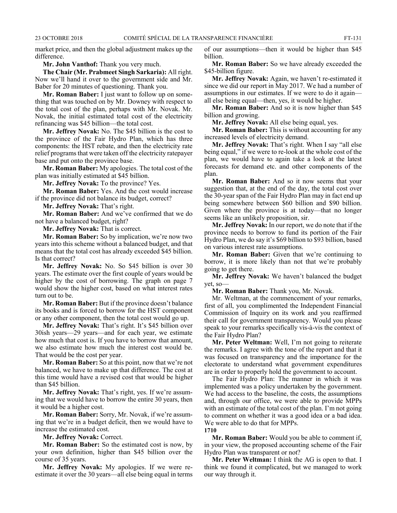market price, and then the global adjustment makes up the difference.

**Mr. John Vanthof:** Thank you very much.

**The Chair (Mr. Prabmeet Singh Sarkaria):** All right. Now we'll hand it over to the government side and Mr. Baber for 20 minutes of questioning. Thank you.

**Mr. Roman Baber:** I just want to follow up on something that was touched on by Mr. Downey with respect to the total cost of the plan, perhaps with Mr. Novak. Mr. Novak, the initial estimated total cost of the electricity refinancing was \$45 billion—the total cost.

**Mr. Jeffrey Novak:** No. The \$45 billion is the cost to the province of the Fair Hydro Plan, which has three components: the HST rebate, and then the electricity rate relief programs that were taken off the electricity ratepayer base and put onto the province base.

**Mr. Roman Baber:** My apologies. The total cost of the plan was initially estimated at \$45 billion.

**Mr. Jeffrey Novak:** To the province? Yes.

**Mr. Roman Baber:** Yes. And the cost would increase if the province did not balance its budget, correct?

**Mr. Jeffrey Novak:** That's right.

**Mr. Roman Baber:** And we've confirmed that we do not have a balanced budget, right?

**Mr. Jeffrey Novak:** That is correct.

**Mr. Roman Baber:** So by implication, we're now two years into this scheme without a balanced budget, and that means that the total cost has already exceeded \$45 billion. Is that correct?

**Mr. Jeffrey Novak:** No. So \$45 billion is over 30 years. The estimate over the first couple of years would be higher by the cost of borrowing. The graph on page 7 would show the higher cost, based on what interest rates turn out to be.

**Mr. Roman Baber:** But if the province doesn't balance its books and is forced to borrow for the HST component or any other component, then the total cost would go up.

**Mr. Jeffrey Novak:** That's right. It's \$45 billion over 30ish years—29 years—and for each year, we estimate how much that cost is. If you have to borrow that amount, we also estimate how much the interest cost would be. That would be the cost per year.

**Mr. Roman Baber:** So at this point, now that we're not balanced, we have to make up that difference. The cost at this time would have a revised cost that would be higher than \$45 billion.

**Mr. Jeffrey Novak:** That's right, yes. If we're assuming that we would have to borrow the entire 30 years, then it would be a higher cost.

**Mr. Roman Baber:** Sorry, Mr. Novak, if we're assuming that we're in a budget deficit, then we would have to increase the estimated cost.

**Mr. Jeffrey Novak:** Correct.

**Mr. Roman Baber:** So the estimated cost is now, by your own definition, higher than \$45 billion over the course of 35 years.

**Mr. Jeffrey Novak:** My apologies. If we were reestimate it over the 30 years—all else being equal in terms of our assumptions—then it would be higher than \$45 billion.

**Mr. Roman Baber:** So we have already exceeded the \$45-billion figure.

**Mr. Jeffrey Novak:** Again, we haven't re-estimated it since we did our report in May 2017. We had a number of assumptions in our estimates. If we were to do it again all else being equal—then, yes, it would be higher.

**Mr. Roman Baber:** And so it is now higher than \$45 billion and growing.

**Mr. Jeffrey Novak:** All else being equal, yes.

**Mr. Roman Baber:** This is without accounting for any increased levels of electricity demand.

**Mr. Jeffrey Novak:** That's right. When I say "all else being equal," if we were to re-look at the whole cost of the plan, we would have to again take a look at the latest forecasts for demand etc. and other components of the plan.

**Mr. Roman Baber:** And so it now seems that your suggestion that, at the end of the day, the total cost over the 30-year span of the Fair Hydro Plan may in fact end up being somewhere between \$60 billion and \$90 billion. Given where the province is at today—that no longer seems like an unlikely proposition, sir.

**Mr. Jeffrey Novak:** In our report, we do note that if the province needs to borrow to fund its portion of the Fair Hydro Plan, we do say it's \$69 billion to \$93 billion, based on various interest rate assumptions.

**Mr. Roman Baber:** Given that we're continuing to borrow, it is more likely than not that we're probably going to get there.

**Mr. Jeffrey Novak:** We haven't balanced the budget yet, so—

**Mr. Roman Baber:** Thank you, Mr. Novak.

Mr. Weltman, at the commencement of your remarks, first of all, you complimented the Independent Financial Commission of Inquiry on its work and you reaffirmed their call for government transparency. Would you please speak to your remarks specifically vis-à-vis the context of the Fair Hydro Plan?

**Mr. Peter Weltman:** Well, I'm not going to reiterate the remarks. I agree with the tone of the report and that it was focused on transparency and the importance for the electorate to understand what government expenditures are in order to properly hold the government to account.

The Fair Hydro Plan: The manner in which it was implemented was a policy undertaken by the government. We had access to the baseline, the costs, the assumptions and, through our office, we were able to provide MPPs with an estimate of the total cost of the plan. I'm not going to comment on whether it was a good idea or a bad idea. We were able to do that for MPPs. **1710**

**Mr. Roman Baber:** Would you be able to comment if, in your view, the proposed accounting scheme of the Fair Hydro Plan was transparent or not?

**Mr. Peter Weltman:** I think the AG is open to that. I think we found it complicated, but we managed to work our way through it.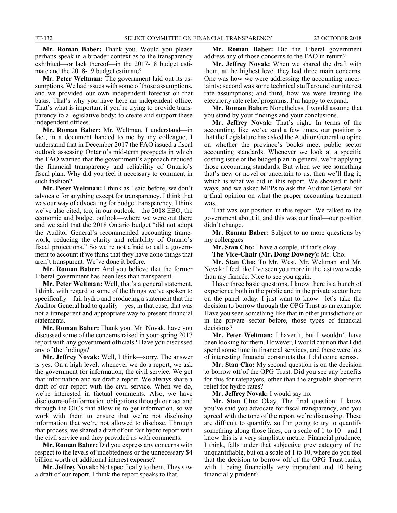**Mr. Roman Baber:** Thank you. Would you please perhaps speak in a broader context as to the transparency exhibited—or lack thereof—in the 2017-18 budget estimate and the 2018-19 budget estimate?

**Mr. Peter Weltman:** The government laid out its assumptions. We had issues with some of those assumptions, and we provided our own independent forecast on that basis. That's why you have here an independent office. That's what is important if you're trying to provide transparency to a legislative body: to create and support these independent offices.

**Mr. Roman Baber:** Mr. Weltman, I understand—in fact, in a document handed to me by my colleague, I understand that in December 2017 the FAO issued a fiscal outlook assessing Ontario's mid-term prospects in which the FAO warned that the government's approach reduced the financial transparency and reliability of Ontario's fiscal plan. Why did you feel it necessary to comment in such fashion?

**Mr. Peter Weltman:** I think as I said before, we don't advocate for anything except for transparency. I think that was our way of advocating for budget transparency. I think we've also cited, too, in our outlook—the 2018 EBO, the economic and budget outlook—where we were out there and we said that the 2018 Ontario budget "did not adopt the Auditor General's recommended accounting framework, reducing the clarity and reliability of Ontario's fiscal projections." So we're not afraid to call a government to account if we think that they have done things that aren't transparent. We've done it before.

**Mr. Roman Baber:** And you believe that the former Liberal government has been less than transparent.

**Mr. Peter Weltman:** Well, that's a general statement. I think, with regard to some of the things we've spoken to specifically—fair hydro and producing a statement that the Auditor General had to qualify—yes, in that case, that was not a transparent and appropriate way to present financial statements.

**Mr. Roman Baber:** Thank you. Mr. Novak, have you discussed some of the concerns raised in your spring 2017 report with any government officials? Have you discussed any of the findings?

**Mr. Jeffrey Novak:** Well, I think—sorry. The answer is yes. On a high level, whenever we do a report, we ask the government for information, the civil service. We get that information and we draft a report. We always share a draft of our report with the civil service. When we do, we're interested in factual comments. Also, we have disclosure-of-information obligations through our act and through the OICs that allow us to get information, so we work with them to ensure that we're not disclosing information that we're not allowed to disclose. Through that process, we shared a draft of our fair hydro report with the civil service and they provided us with comments.

**Mr. Roman Baber:** Did you express any concerns with respect to the levels of indebtedness or the unnecessary \$4 billion worth of additional interest expense?

**Mr. Jeffrey Novak:** Not specifically to them. They saw a draft of our report. I think the report speaks to that.

**Mr. Roman Baber:** Did the Liberal government address any of those concerns to the FAO in return?

**Mr. Jeffrey Novak:** When we shared the draft with them, at the highest level they had three main concerns. One was how we were addressing the accounting uncertainty; second was some technical stuff around our interest rate assumptions; and third, how we were treating the electricity rate relief programs. I'm happy to expand.

**Mr. Roman Baber:** Nonetheless, I would assume that you stand by your findings and your conclusions.

**Mr. Jeffrey Novak:** That's right. In terms of the accounting, like we've said a few times, our position is that the Legislature has asked the Auditor General to opine on whether the province's books meet public sector accounting standards. Whenever we look at a specific costing issue or the budget plan in general, we're applying those accounting standards. But when we see something that's new or novel or uncertain to us, then we'll flag it, which is what we did in this report. We showed it both ways, and we asked MPPs to ask the Auditor General for a final opinion on what the proper accounting treatment was.

That was our position in this report. We talked to the government about it, and this was our final—our position didn't change.

**Mr. Roman Baber:** Subject to no more questions by my colleagues—

**Mr. Stan Cho:** I have a couple, if that's okay.

**The Vice-Chair (Mr. Doug Downey):** Mr. Cho.

**Mr. Stan Cho:** To Mr. West, Mr. Weltman and Mr. Novak: I feel like I've seen you more in the last two weeks than my fiancée. Nice to see you again.

I have three basic questions. I know there is a bunch of experience both in the public and in the private sector here on the panel today. I just want to know—let's take the decision to borrow through the OPG Trust as an example: Have you seen something like that in other jurisdictions or in the private sector before, those types of financial decisions?

**Mr. Peter Weltman:** I haven't, but I wouldn't have been looking for them. However, I would caution that I did spend some time in financial services, and there were lots of interesting financial constructs that I did come across.

**Mr. Stan Cho:** My second question is on the decision to borrow off of the OPG Trust. Did you see any benefits for this for ratepayers, other than the arguable short-term relief for hydro rates?

**Mr. Jeffrey Novak:** I would say no.

**Mr. Stan Cho:** Okay. The final question: I know you've said you advocate for fiscal transparency, and you agreed with the tone of the report we're discussing. These are difficult to quantify, so I'm going to try to quantify something along those lines, on a scale of 1 to 10—and I know this is a very simplistic metric. Financial prudence, I think, falls under that subjective grey category of the unquantifiable, but on a scale of 1 to 10, where do you feel that the decision to borrow off of the OPG Trust ranks, with 1 being financially very imprudent and 10 being financially prudent?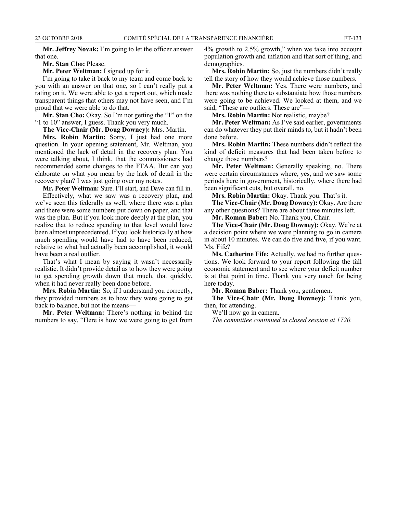**Mr. Jeffrey Novak:** I'm going to let the officer answer that one.

#### **Mr. Stan Cho:** Please.

**Mr. Peter Weltman:** I signed up for it.

I'm going to take it back to my team and come back to you with an answer on that one, so I can't really put a rating on it. We were able to get a report out, which made transparent things that others may not have seen, and I'm proud that we were able to do that.

**Mr. Stan Cho:** Okay. So I'm not getting the "1" on the "1 to 10" answer, I guess. Thank you very much.

**The Vice-Chair (Mr. Doug Downey):** Mrs. Martin.

**Mrs. Robin Martin:** Sorry, I just had one more question. In your opening statement, Mr. Weltman, you mentioned the lack of detail in the recovery plan. You were talking about, I think, that the commissioners had recommended some changes to the FTAA. But can you elaborate on what you mean by the lack of detail in the recovery plan? I was just going over my notes.

**Mr. Peter Weltman:** Sure. I'll start, and Dave can fill in.

Effectively, what we saw was a recovery plan, and we've seen this federally as well, where there was a plan and there were some numbers put down on paper, and that was the plan. But if you look more deeply at the plan, you realize that to reduce spending to that level would have been almost unprecedented. If you look historically at how much spending would have had to have been reduced, relative to what had actually been accomplished, it would have been a real outlier.

That's what I mean by saying it wasn't necessarily realistic. It didn't provide detail as to how they were going to get spending growth down that much, that quickly, when it had never really been done before.

**Mrs. Robin Martin:** So, if I understand you correctly, they provided numbers as to how they were going to get back to balance, but not the means—

**Mr. Peter Weltman:** There's nothing in behind the numbers to say, "Here is how we were going to get from 4% growth to 2.5% growth," when we take into account population growth and inflation and that sort of thing, and demographics.

**Mrs. Robin Martin:** So, just the numbers didn't really tell the story of how they would achieve those numbers.

**Mr. Peter Weltman:** Yes. There were numbers, and there was nothing there to substantiate how those numbers were going to be achieved. We looked at them, and we said, "These are outliers. These are"—

**Mrs. Robin Martin:** Not realistic, maybe?

**Mr. Peter Weltman:** As I've said earlier, governments can do whatever they put their minds to, but it hadn't been done before.

**Mrs. Robin Martin:** These numbers didn't reflect the kind of deficit measures that had been taken before to change those numbers?

**Mr. Peter Weltman:** Generally speaking, no. There were certain circumstances where, yes, and we saw some periods here in government, historically, where there had been significant cuts, but overall, no.

**Mrs. Robin Martin:** Okay. Thank you. That's it.

**The Vice-Chair (Mr. Doug Downey):** Okay. Are there any other questions? There are about three minutes left.

**Mr. Roman Baber:** No. Thank you, Chair.

**The Vice-Chair (Mr. Doug Downey):** Okay. We're at a decision point where we were planning to go in camera in about 10 minutes. We can do five and five, if you want. Ms. Fife?

**Ms. Catherine Fife:** Actually, we had no further questions. We look forward to your report following the fall economic statement and to see where your deficit number is at that point in time. Thank you very much for being here today.

**Mr. Roman Baber:** Thank you, gentlemen.

**The Vice-Chair (Mr. Doug Downey):** Thank you, then, for attending.

We'll now go in camera.

*The committee continued in closed session at 1720.*